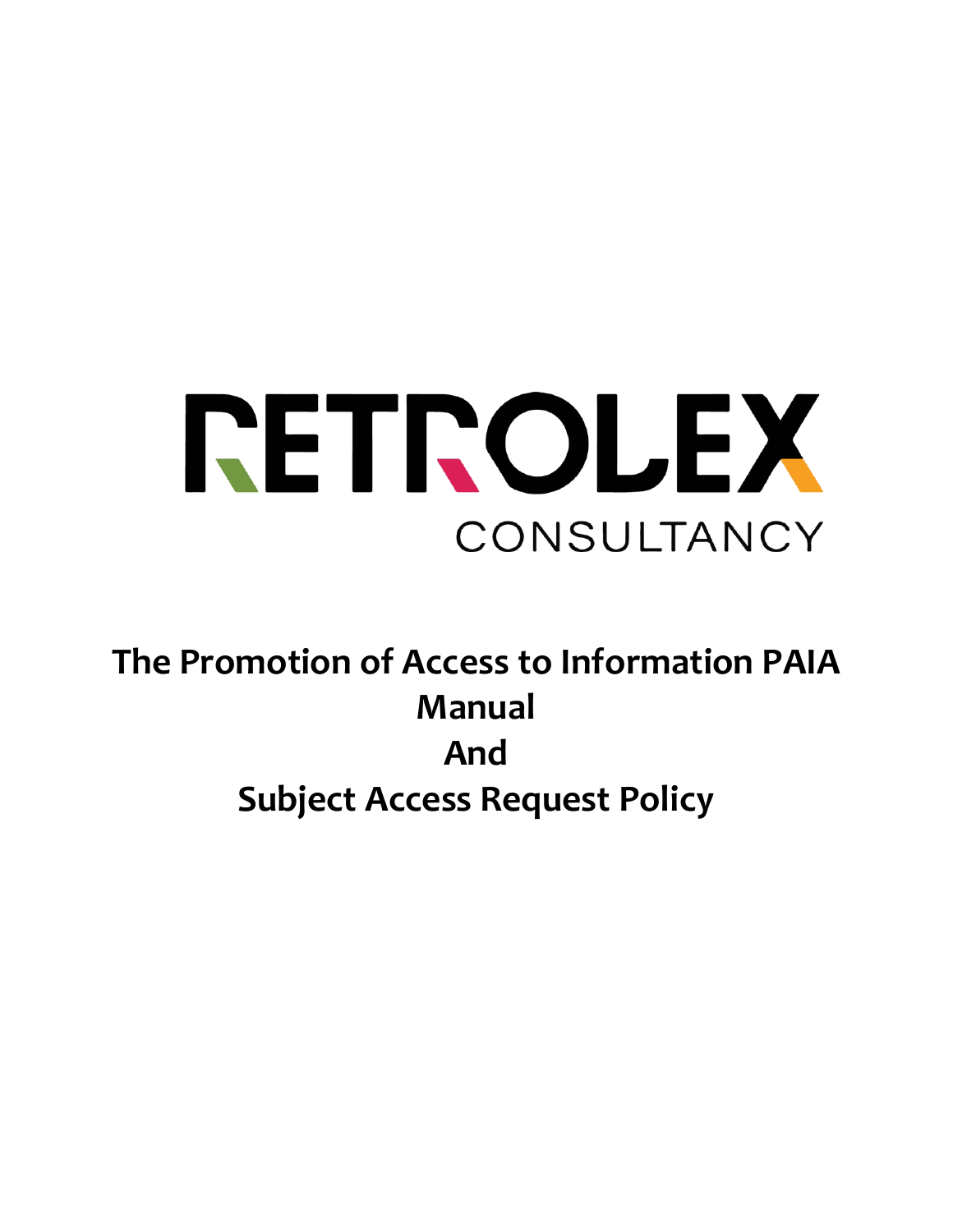

**The Promotion of Access to Information PAIA Manual And Subject Access Request Policy**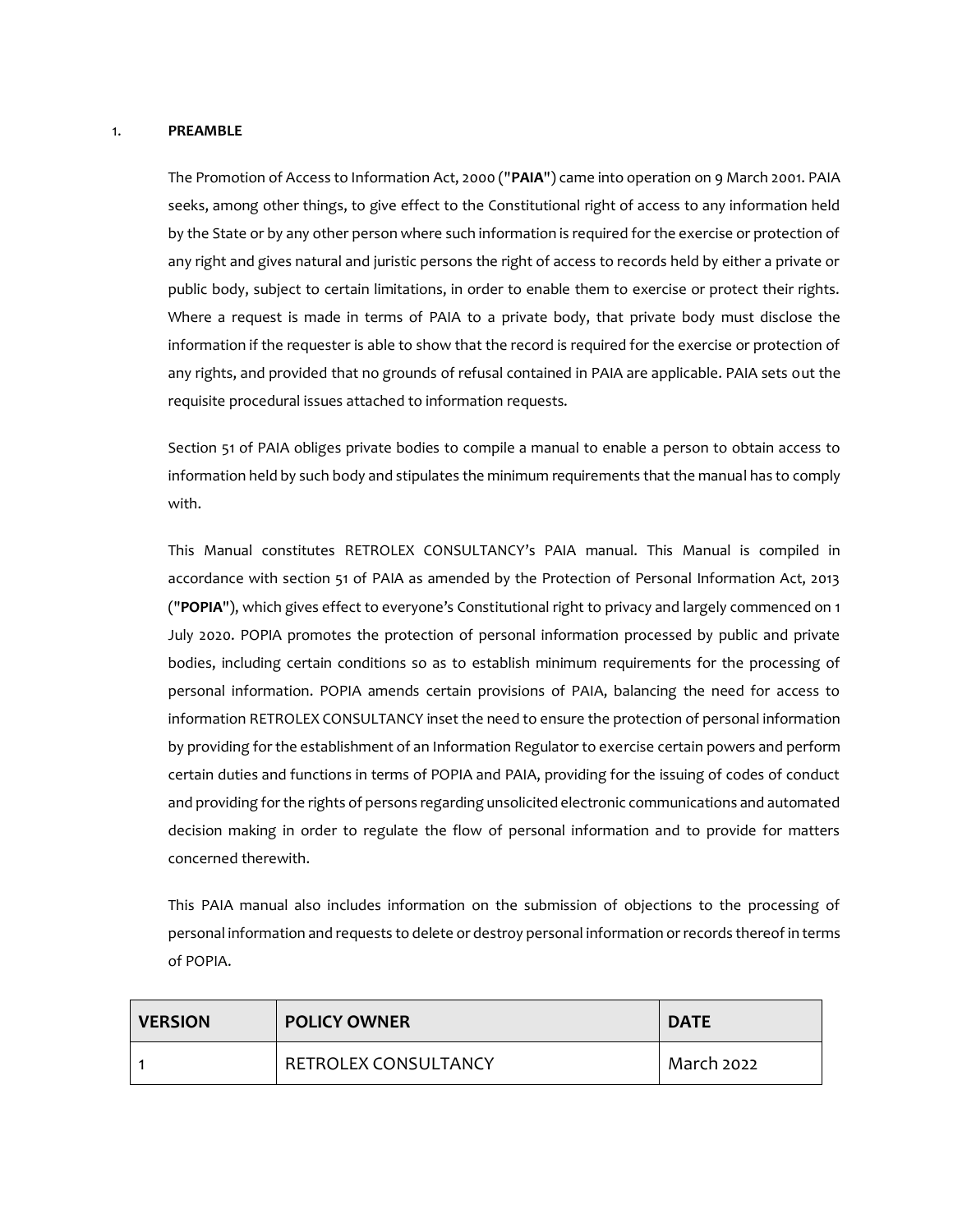#### 1. **PREAMBLE**

The Promotion of Access to Information Act, 2000 ("**PAIA**") came into operation on 9 March 2001. PAIA seeks, among other things, to give effect to the Constitutional right of access to any information held by the State or by any other person where such information is required for the exercise or protection of any right and gives natural and juristic persons the right of access to records held by either a private or public body, subject to certain limitations, in order to enable them to exercise or protect their rights. Where a request is made in terms of PAIA to a private body, that private body must disclose the information if the requester is able to show that the record is required for the exercise or protection of any rights, and provided that no grounds of refusal contained in PAIA are applicable. PAIA sets out the requisite procedural issues attached to information requests.

Section 51 of PAIA obliges private bodies to compile a manual to enable a person to obtain access to information held by such body and stipulates the minimum requirements that the manual has to comply with.

This Manual constitutes RETROLEX CONSULTANCY's PAIA manual. This Manual is compiled in accordance with section 51 of PAIA as amended by the Protection of Personal Information Act, 2013 ("**POPIA**"), which gives effect to everyone's Constitutional right to privacy and largely commenced on 1 July 2020. POPIA promotes the protection of personal information processed by public and private bodies, including certain conditions so as to establish minimum requirements for the processing of personal information. POPIA amends certain provisions of PAIA, balancing the need for access to information RETROLEX CONSULTANCY inset the need to ensure the protection of personal information by providing for the establishment of an Information Regulator to exercise certain powers and perform certain duties and functions in terms of POPIA and PAIA, providing for the issuing of codes of conduct and providing for the rights of persons regarding unsolicited electronic communications and automated decision making in order to regulate the flow of personal information and to provide for matters concerned therewith.

This PAIA manual also includes information on the submission of objections to the processing of personal information and requests to delete or destroy personal information or records thereof in terms of POPIA.

| <b>VERSION</b> | <b>POLICY OWNER</b>         | <b>DATE</b> |
|----------------|-----------------------------|-------------|
|                | <b>RETROLEX CONSULTANCY</b> | March 2022  |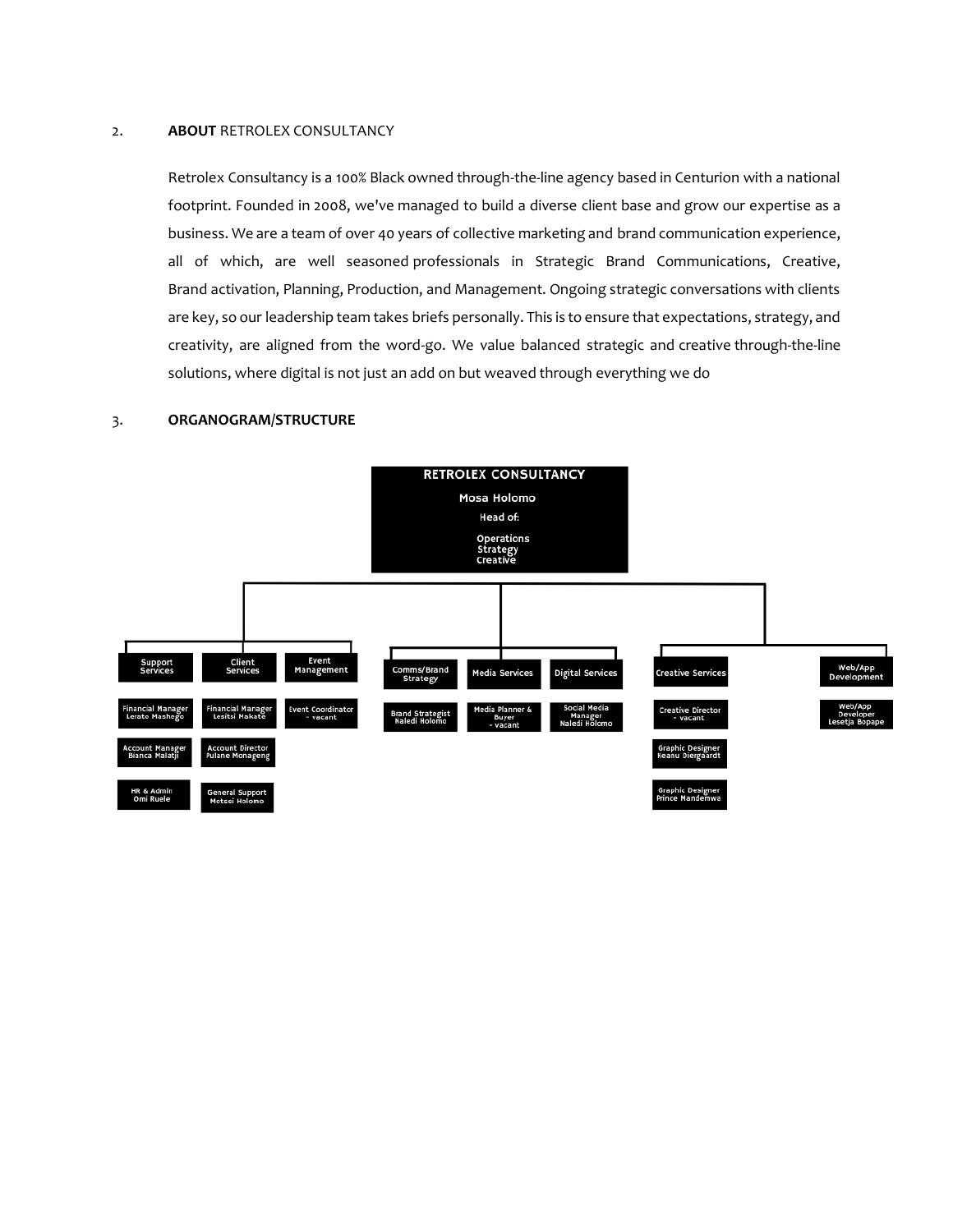#### 2. **ABOUT** RETROLEX CONSULTANCY

Retrolex Consultancy is a 100% Black owned through-the-line agency based in Centurion with a national footprint. Founded in 2008, we've managed to build a diverse client base and grow our expertise as a business. We are a team of over 40 years of collective marketing and brand communication experience, all of which, are well seasoned professionals in Strategic Brand Communications, Creative, Brand activation, Planning, Production, and Management. Ongoing strategic conversations with clients are key, so our leadership team takes briefs personally. This is to ensure that expectations, strategy, and creativity, are aligned from the word-go. We value balanced strategic and creative through-the-line solutions, where digital is not just an add on but weaved through everything we do

#### 3. **ORGANOGRAM/STRUCTURE**

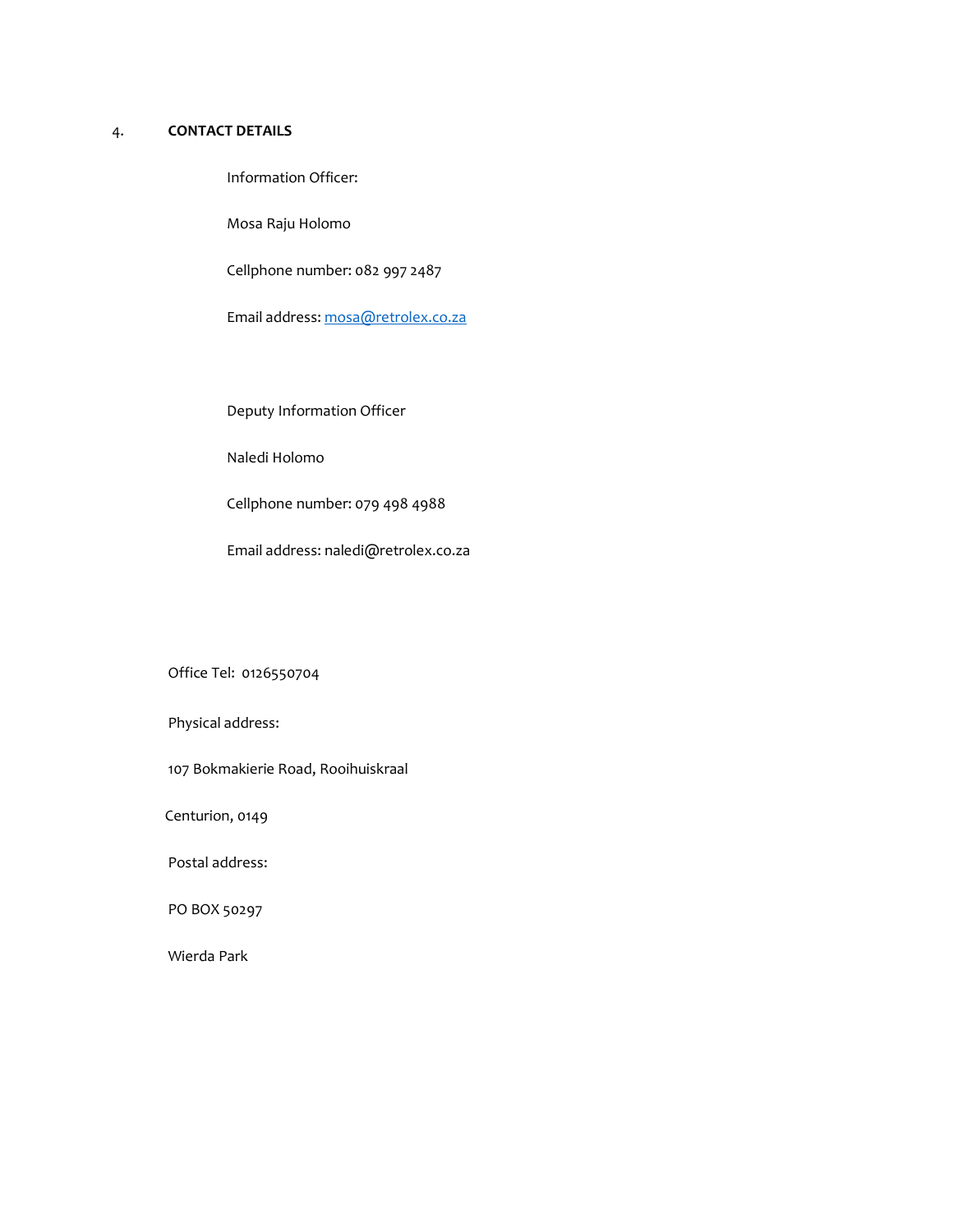## 4. **CONTACT DETAILS**

Information Officer:

Mosa Raju Holomo

Cellphone number: 082 997 2487

Email address[: mosa@retrolex.co.za](mailto:mosa@retrolex.co.za)

Deputy Information Officer

Naledi Holomo

Cellphone number: 079 498 4988

Email address: naledi@retrolex.co.za

Office Tel: [0126550704](tel:0126550704)

Physical address:

107 Bokmakierie Road, Rooihuiskraal

Centurion, 0149

Postal address:

PO BOX 50297

Wierda Park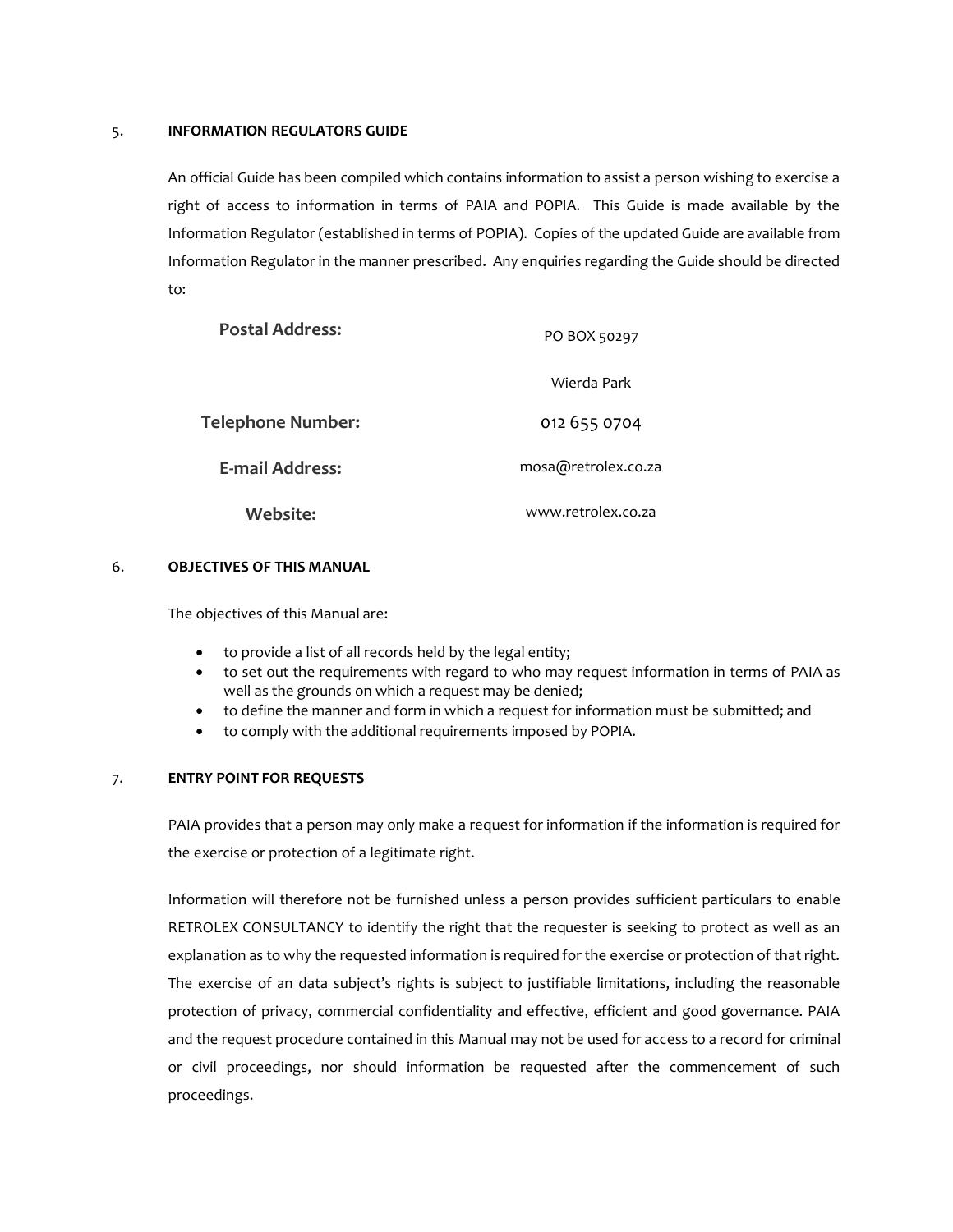#### 5. **INFORMATION REGULATORS GUIDE**

An official Guide has been compiled which contains information to assist a person wishing to exercise a right of access to information in terms of PAIA and POPIA. This Guide is made available by the Information Regulator (established in terms of POPIA). Copies of the updated Guide are available from Information Regulator in the manner prescribed. Any enquiries regarding the Guide should be directed  $t \circ t$ 

| <b>Postal Address:</b>   | PO BOX 50297        |
|--------------------------|---------------------|
|                          | Wierda Park         |
| <b>Telephone Number:</b> | 012 655 0704        |
| E-mail Address:          | mosa@retrolex.co.za |
| Website:                 | www.retrolex.co.za  |

#### 6. **OBJECTIVES OF THIS MANUAL**

The objectives of this Manual are:

- to provide a list of all records held by the legal entity;
- to set out the requirements with regard to who may request information in terms of PAIA as well as the grounds on which a request may be denied;
- to define the manner and form in which a request for information must be submitted; and
- to comply with the additional requirements imposed by POPIA.

#### 7. **ENTRY POINT FOR REQUESTS**

PAIA provides that a person may only make a request for information if the information is required for the exercise or protection of a legitimate right.

Information will therefore not be furnished unless a person provides sufficient particulars to enable RETROLEX CONSULTANCY to identify the right that the requester is seeking to protect as well as an explanation as to why the requested information is required for the exercise or protection of that right. The exercise of an data subject's rights is subject to justifiable limitations, including the reasonable protection of privacy, commercial confidentiality and effective, efficient and good governance. PAIA and the request procedure contained in this Manual may not be used for access to a record for criminal or civil proceedings, nor should information be requested after the commencement of such proceedings.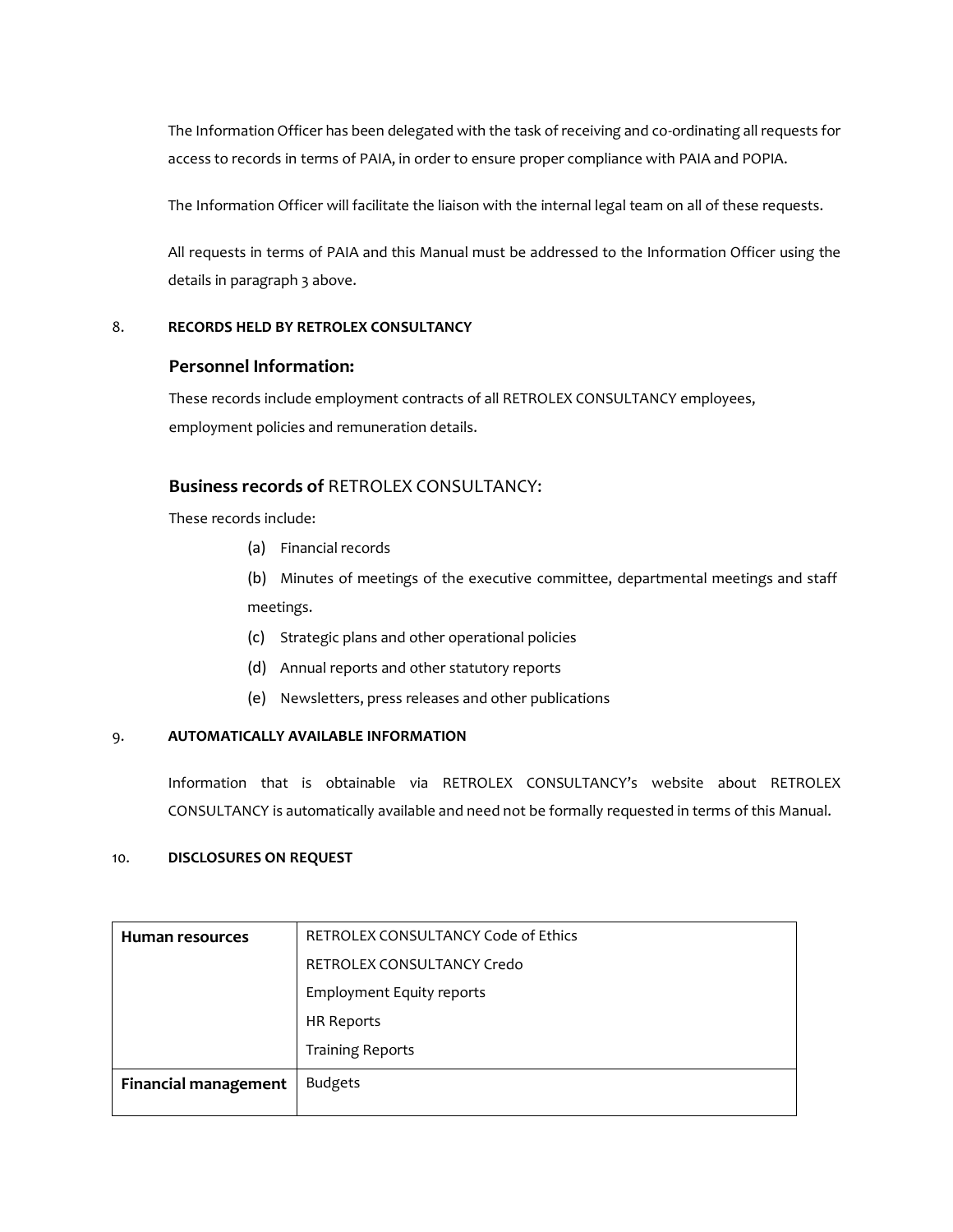The Information Officer has been delegated with the task of receiving and co-ordinating all requests for access to records in terms of PAIA, in order to ensure proper compliance with PAIA and POPIA.

The Information Officer will facilitate the liaison with the internal legal team on all of these requests.

All requests in terms of PAIA and this Manual must be addressed to the Information Officer using the details in paragraph 3 above.

### 8. **RECORDS HELD BY RETROLEX CONSULTANCY**

## **Personnel Information:**

These records include employment contracts of all RETROLEX CONSULTANCY employees, employment policies and remuneration details.

## **Business records of** RETROLEX CONSULTANCY:

These records include:

(a) Financial records

(b) Minutes of meetings of the executive committee, departmental meetings and staff meetings.

- (c) Strategic plans and other operational policies
- (d) Annual reports and other statutory reports
- (e) Newsletters, press releases and other publications

#### 9. **AUTOMATICALLY AVAILABLE INFORMATION**

Information that is obtainable via RETROLEX CONSULTANCY's website about RETROLEX CONSULTANCY is automatically available and need not be formally requested in terms of this Manual.

## 10. **DISCLOSURES ON REQUEST**

| <b>Human resources</b>      | <b>RETROLEX CONSULTANCY Code of Ethics</b> |
|-----------------------------|--------------------------------------------|
|                             | RETROLEX CONSULTANCY Credo                 |
|                             | <b>Employment Equity reports</b>           |
|                             | HR Reports                                 |
|                             | <b>Training Reports</b>                    |
| <b>Financial management</b> | <b>Budgets</b>                             |
|                             |                                            |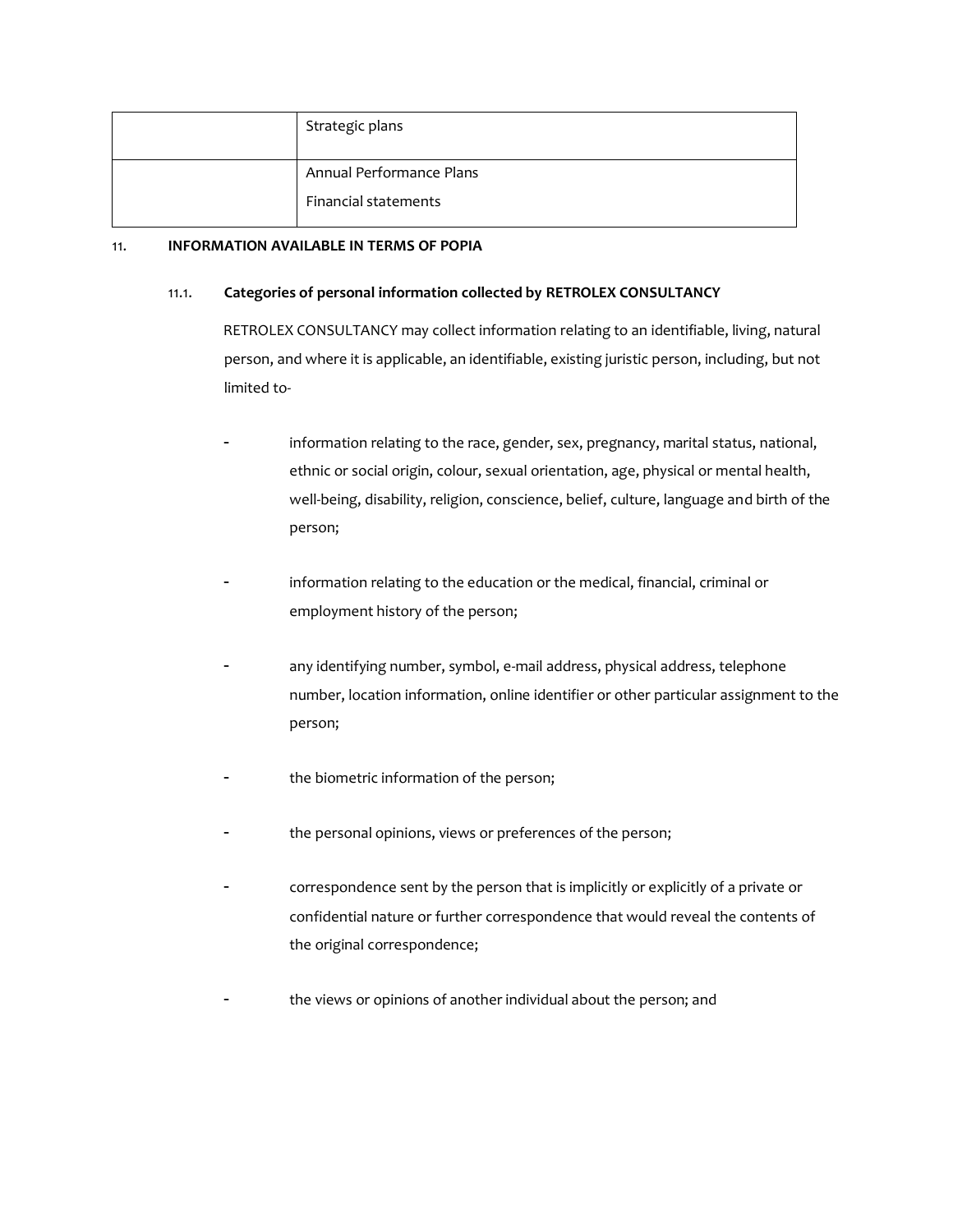| Strategic plans             |
|-----------------------------|
| Annual Performance Plans    |
| <b>Financial statements</b> |

#### 11. **INFORMATION AVAILABLE IN TERMS OF POPIA**

#### 11.1. **Categories of personal information collected by RETROLEX CONSULTANCY**

RETROLEX CONSULTANCY may collect information relating to an identifiable, living, natural person, and where it is applicable, an identifiable, existing juristic person, including, but not limited to-

- information relating to the race, gender, sex, pregnancy, marital status, national, ethnic or social origin, colour, sexual orientation, age, physical or mental health, well-being, disability, religion, conscience, belief, culture, language and birth of the person;
- information relating to the education or the medical, financial, criminal or employment history of the person;
- any identifying number, symbol, e-mail address, physical address, telephone number, location information, online identifier or other particular assignment to the person;
- the biometric information of the person;
- the personal opinions, views or preferences of the person;
- correspondence sent by the person that is implicitly or explicitly of a private or confidential nature or further correspondence that would reveal the contents of the original correspondence;
- the views or opinions of another individual about the person; and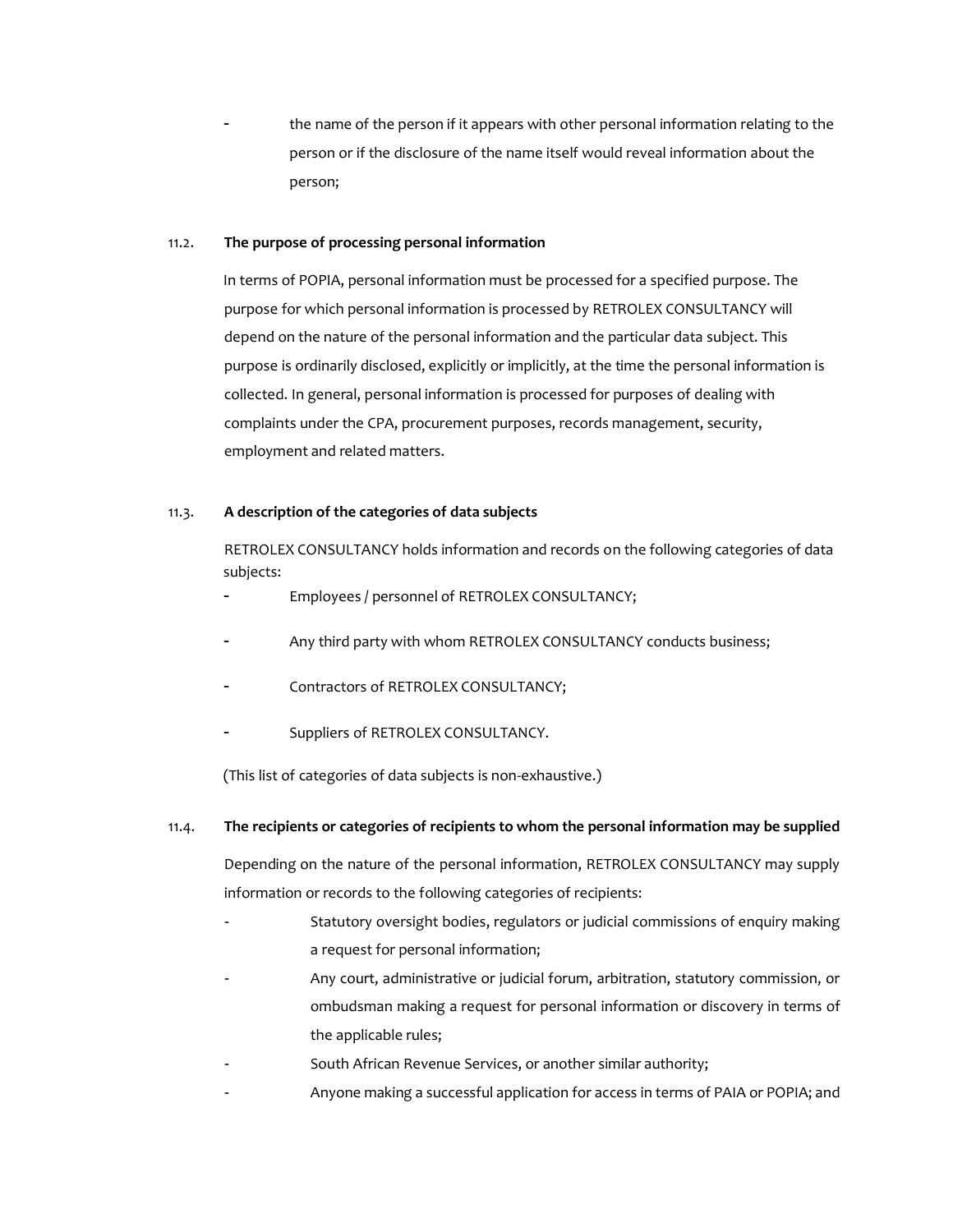the name of the person if it appears with other personal information relating to the person or if the disclosure of the name itself would reveal information about the person;

#### 11.2. **The purpose of processing personal information**

In terms of POPIA, personal information must be processed for a specified purpose. The purpose for which personal information is processed by RETROLEX CONSULTANCY will depend on the nature of the personal information and the particular data subject. This purpose is ordinarily disclosed, explicitly or implicitly, at the time the personal information is collected. In general, personal information is processed for purposes of dealing with complaints under the CPA, procurement purposes, records management, security, employment and related matters.

#### 11.3. **A description of the categories of data subjects**

RETROLEX CONSULTANCY holds information and records on the following categories of data subjects:

- Employees / personnel of RETROLEX CONSULTANCY;
- Any third party with whom RETROLEX CONSULTANCY conducts business;
- Contractors of RETROLEX CONSULTANCY;
- Suppliers of RETROLEX CONSULTANCY.

(This list of categories of data subjects is non-exhaustive.)

#### 11.4. **The recipients or categories of recipients to whom the personal information may be supplied**

Depending on the nature of the personal information, RETROLEX CONSULTANCY may supply information or records to the following categories of recipients:

- Statutory oversight bodies, regulators or judicial commissions of enquiry making a request for personal information;
- Any court, administrative or judicial forum, arbitration, statutory commission, or ombudsman making a request for personal information or discovery in terms of the applicable rules;
- South African Revenue Services, or another similar authority;
- Anyone making a successful application for access in terms of PAIA or POPIA; and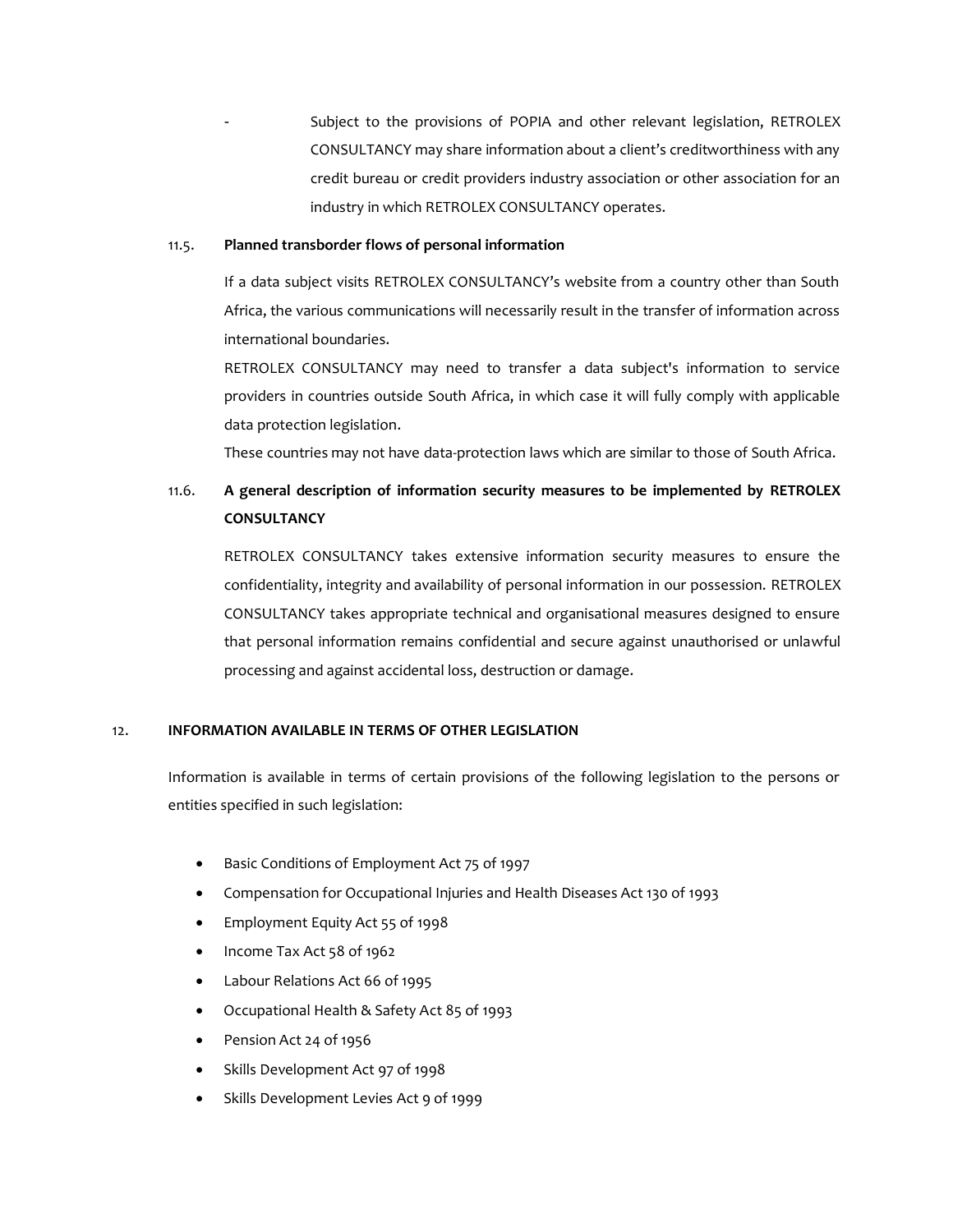Subject to the provisions of POPIA and other relevant legislation, RETROLEX CONSULTANCY may share information about a client's creditworthiness with any credit bureau or credit providers industry association or other association for an industry in which RETROLEX CONSULTANCY operates.

#### 11.5. **Planned transborder flows of personal information**

If a data subject visits RETROLEX CONSULTANCY's website from a country other than South Africa, the various communications will necessarily result in the transfer of information across international boundaries.

RETROLEX CONSULTANCY may need to transfer a data subject's information to service providers in countries outside South Africa, in which case it will fully comply with applicable data protection legislation.

These countries may not have data-protection laws which are similar to those of South Africa.

# 11.6. **A general description of information security measures to be implemented by RETROLEX CONSULTANCY**

RETROLEX CONSULTANCY takes extensive information security measures to ensure the confidentiality, integrity and availability of personal information in our possession. RETROLEX CONSULTANCY takes appropriate technical and organisational measures designed to ensure that personal information remains confidential and secure against unauthorised or unlawful processing and against accidental loss, destruction or damage.

#### 12. **INFORMATION AVAILABLE IN TERMS OF OTHER LEGISLATION**

Information is available in terms of certain provisions of the following legislation to the persons or entities specified in such legislation:

- Basic Conditions of Employment Act 75 of 1997
- Compensation for Occupational Injuries and Health Diseases Act 130 of 1993
- Employment Equity Act 55 of 1998
- Income Tax Act 58 of 1962
- Labour Relations Act 66 of 1995
- Occupational Health & Safety Act 85 of 1993
- Pension Act 24 of 1956
- Skills Development Act 97 of 1998
- Skills Development Levies Act 9 of 1999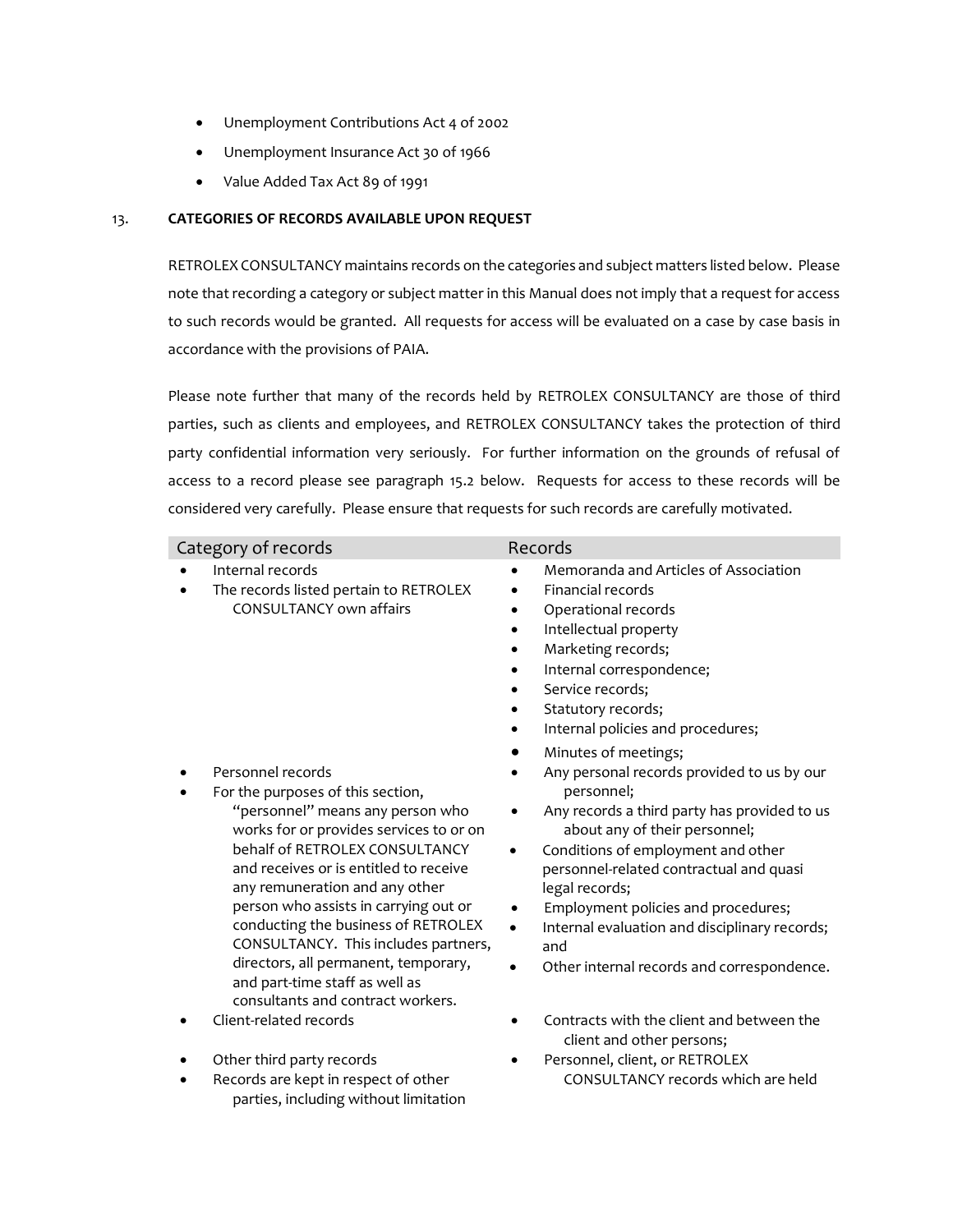- Unemployment Contributions Act 4 of 2002
- Unemployment Insurance Act 30 of 1966
- Value Added Tax Act 89 of 1991

#### 13. **CATEGORIES OF RECORDS AVAILABLE UPON REQUEST**

RETROLEX CONSULTANCY maintains records on the categories and subject matters listed below. Please note that recording a category or subject matter in this Manual does not imply that a request for access to such records would be granted. All requests for access will be evaluated on a case by case basis in accordance with the provisions of PAIA.

Please note further that many of the records held by RETROLEX CONSULTANCY are those of third parties, such as clients and employees, and RETROLEX CONSULTANCY takes the protection of third party confidential information very seriously. For further information on the grounds of refusal of access to a record please see paragraph [15.2](#page-11-0) below. Requests for access to these records will be considered very carefully. Please ensure that requests for such records are carefully motivated.

| Category of records                                                                                                                                                                                                                                                                                                                                                                                                                                                                        | Records                                                                                                                                                                                                                                                                                                                                                                                                                                                  |
|--------------------------------------------------------------------------------------------------------------------------------------------------------------------------------------------------------------------------------------------------------------------------------------------------------------------------------------------------------------------------------------------------------------------------------------------------------------------------------------------|----------------------------------------------------------------------------------------------------------------------------------------------------------------------------------------------------------------------------------------------------------------------------------------------------------------------------------------------------------------------------------------------------------------------------------------------------------|
| Internal records<br>The records listed pertain to RETROLEX<br><b>CONSULTANCY own affairs</b>                                                                                                                                                                                                                                                                                                                                                                                               | Memoranda and Articles of Association<br><b>Financial records</b><br>Operational records<br>Intellectual property<br>Marketing records;<br>Internal correspondence;<br>Service records;<br>Statutory records;<br>Internal policies and procedures;                                                                                                                                                                                                       |
| Personnel records<br>For the purposes of this section,<br>"personnel" means any person who<br>works for or provides services to or on<br>behalf of RETROLEX CONSULTANCY<br>and receives or is entitled to receive<br>any remuneration and any other<br>person who assists in carrying out or<br>conducting the business of RETROLEX<br>CONSULTANCY. This includes partners,<br>directors, all permanent, temporary,<br>and part-time staff as well as<br>consultants and contract workers. | Minutes of meetings;<br>Any personal records provided to us by our<br>personnel;<br>Any records a third party has provided to us<br>$\bullet$<br>about any of their personnel;<br>Conditions of employment and other<br>personnel-related contractual and quasi<br>legal records;<br>Employment policies and procedures;<br>Internal evaluation and disciplinary records;<br>$\bullet$<br>and<br>Other internal records and correspondence.<br>$\bullet$ |
| Client-related records                                                                                                                                                                                                                                                                                                                                                                                                                                                                     | Contracts with the client and between the<br>client and other persons;                                                                                                                                                                                                                                                                                                                                                                                   |
| Other third party records<br>Records are kept in respect of other<br>parties, including without limitation                                                                                                                                                                                                                                                                                                                                                                                 | Personnel, client, or RETROLEX<br>CONSULTANCY records which are held                                                                                                                                                                                                                                                                                                                                                                                     |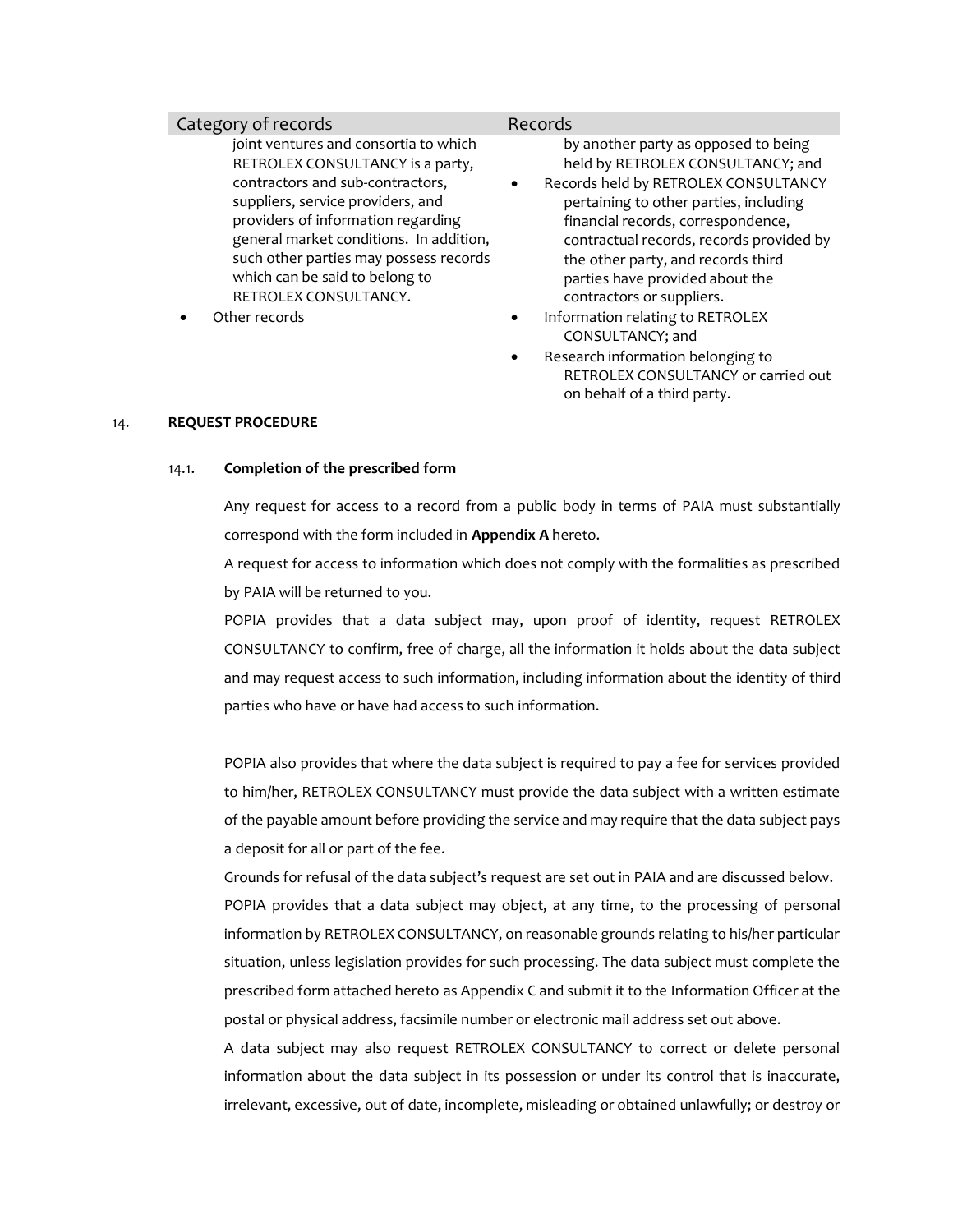#### Category of records **Records Records**

joint ventures and consortia to which RETROLEX CONSULTANCY is a party, contractors and sub-contractors, suppliers, service providers, and providers of information regarding general market conditions. In addition, such other parties may possess records which can be said to belong to RETROLEX CONSULTANCY.

by another party as opposed to being held by RETROLEX CONSULTANCY; and

- Records held by RETROLEX CONSULTANCY pertaining to other parties, including financial records, correspondence, contractual records, records provided by the other party, and records third parties have provided about the contractors or suppliers.
- Other records  **Information relating to RETROLEX** CONSULTANCY; and
	- Research information belonging to RETROLEX CONSULTANCY or carried out on behalf of a third party.

#### 14. **REQUEST PROCEDURE**

#### 14.1. **Completion of the prescribed form**

Any request for access to a record from a public body in terms of PAIA must substantially correspond with the form included in **Appendix A** hereto.

A request for access to information which does not comply with the formalities as prescribed by PAIA will be returned to you.

POPIA provides that a data subject may, upon proof of identity, request RETROLEX CONSULTANCY to confirm, free of charge, all the information it holds about the data subject and may request access to such information, including information about the identity of third parties who have or have had access to such information.

POPIA also provides that where the data subject is required to pay a fee for services provided to him/her, RETROLEX CONSULTANCY must provide the data subject with a written estimate of the payable amount before providing the service and may require that the data subject pays a deposit for all or part of the fee.

Grounds for refusal of the data subject's request are set out in PAIA and are discussed below.

POPIA provides that a data subject may object, at any time, to the processing of personal information by RETROLEX CONSULTANCY, on reasonable grounds relating to his/her particular situation, unless legislation provides for such processing. The data subject must complete the prescribed form attached hereto as Appendix C and submit it to the Information Officer at the postal or physical address, facsimile number or electronic mail address set out above.

A data subject may also request RETROLEX CONSULTANCY to correct or delete personal information about the data subject in its possession or under its control that is inaccurate, irrelevant, excessive, out of date, incomplete, misleading or obtained unlawfully; or destroy or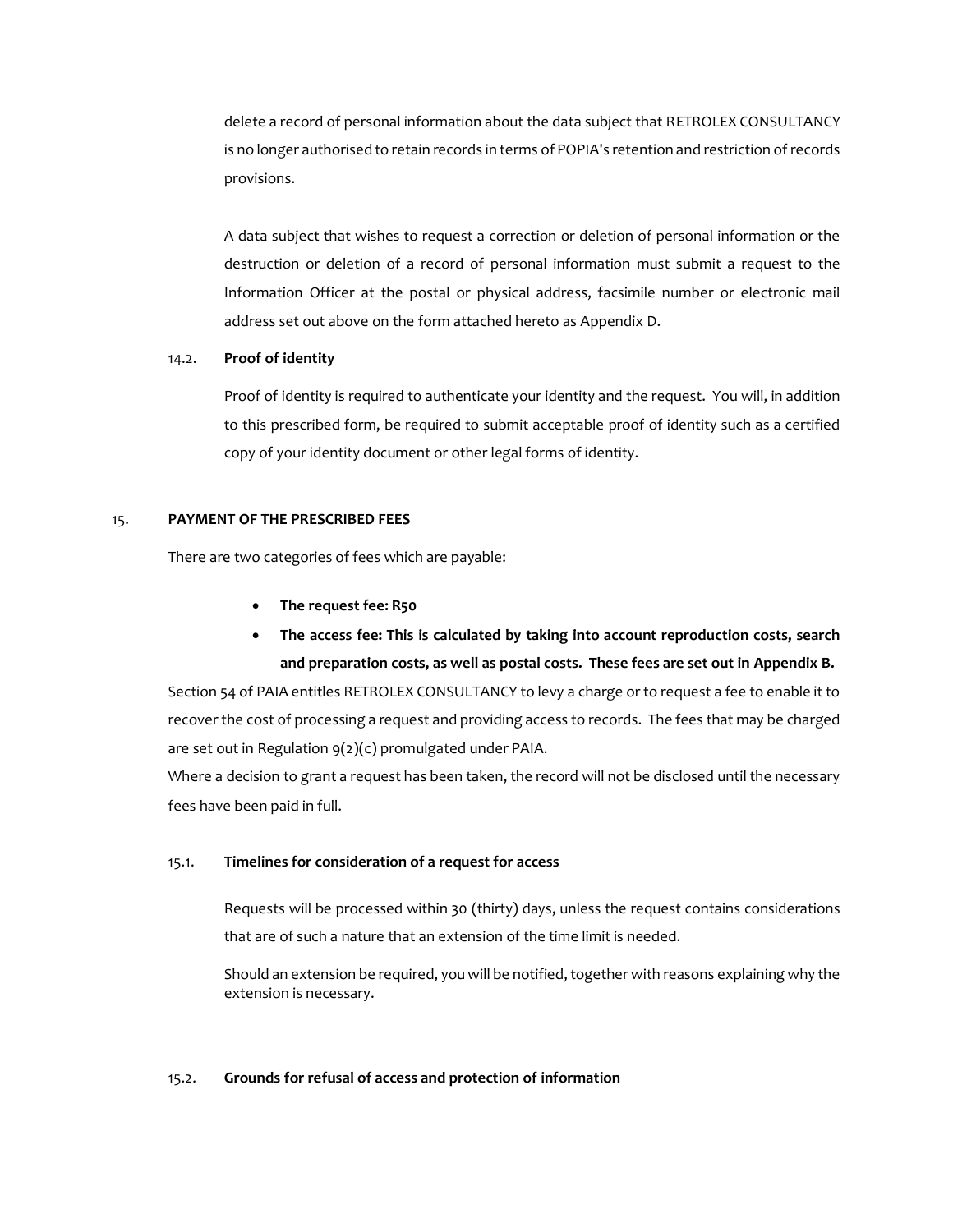delete a record of personal information about the data subject that RETROLEX CONSULTANCY is no longer authorised to retain records in terms of POPIA's retention and restriction of records provisions.

A data subject that wishes to request a correction or deletion of personal information or the destruction or deletion of a record of personal information must submit a request to the Information Officer at the postal or physical address, facsimile number or electronic mail address set out above on the form attached hereto as Appendix D.

#### 14.2. **Proof of identity**

Proof of identity is required to authenticate your identity and the request. You will, in addition to this prescribed form, be required to submit acceptable proof of identity such as a certified copy of your identity document or other legal forms of identity.

#### 15. **PAYMENT OF THE PRESCRIBED FEES**

There are two categories of fees which are payable:

- **The request fee: R50**
- **The access fee: This is calculated by taking into account reproduction costs, search and preparation costs, as well as postal costs. These fees are set out in Appendix B.**

Section 54 of PAIA entitles RETROLEX CONSULTANCY to levy a charge or to request a fee to enable it to recover the cost of processing a request and providing access to records. The fees that may be charged are set out in Regulation 9(2)(c) promulgated under PAIA.

Where a decision to grant a request has been taken, the record will not be disclosed until the necessary fees have been paid in full.

#### 15.1. **Timelines for consideration of a request for access**

Requests will be processed within 30 (thirty) days, unless the request contains considerations that are of such a nature that an extension of the time limit is needed.

Should an extension be required, you will be notified, together with reasons explaining why the extension is necessary.

#### <span id="page-11-0"></span>15.2. **Grounds for refusal of access and protection of information**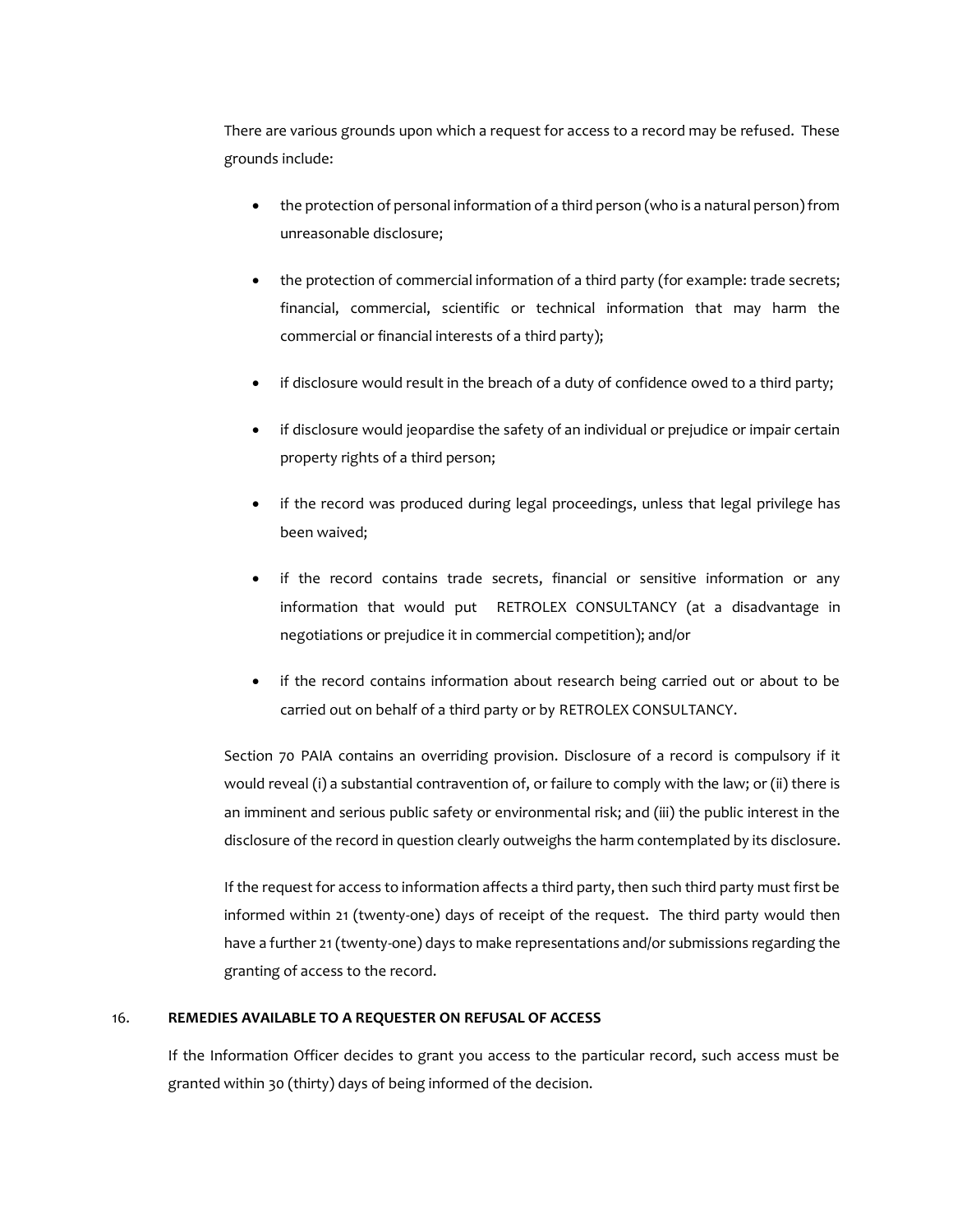There are various grounds upon which a request for access to a record may be refused. These grounds include:

- the protection of personal information of a third person (who is a natural person) from unreasonable disclosure;
- the protection of commercial information of a third party (for example: trade secrets; financial, commercial, scientific or technical information that may harm the commercial or financial interests of a third party);
- if disclosure would result in the breach of a duty of confidence owed to a third party;
- if disclosure would jeopardise the safety of an individual or prejudice or impair certain property rights of a third person;
- if the record was produced during legal proceedings, unless that legal privilege has been waived;
- if the record contains trade secrets, financial or sensitive information or any information that would put RETROLEX CONSULTANCY (at a disadvantage in negotiations or prejudice it in commercial competition); and/or
- if the record contains information about research being carried out or about to be carried out on behalf of a third party or by RETROLEX CONSULTANCY.

Section 70 PAIA contains an overriding provision. Disclosure of a record is compulsory if it would reveal (i) a substantial contravention of, or failure to comply with the law; or (ii) there is an imminent and serious public safety or environmental risk; and (iii) the public interest in the disclosure of the record in question clearly outweighs the harm contemplated by its disclosure.

If the request for access to information affects a third party, then such third party must first be informed within 21 (twenty-one) days of receipt of the request. The third party would then have a further 21 (twenty-one) days to make representations and/or submissions regarding the granting of access to the record.

#### 16. **REMEDIES AVAILABLE TO A REQUESTER ON REFUSAL OF ACCESS**

If the Information Officer decides to grant you access to the particular record, such access must be granted within 30 (thirty) days of being informed of the decision.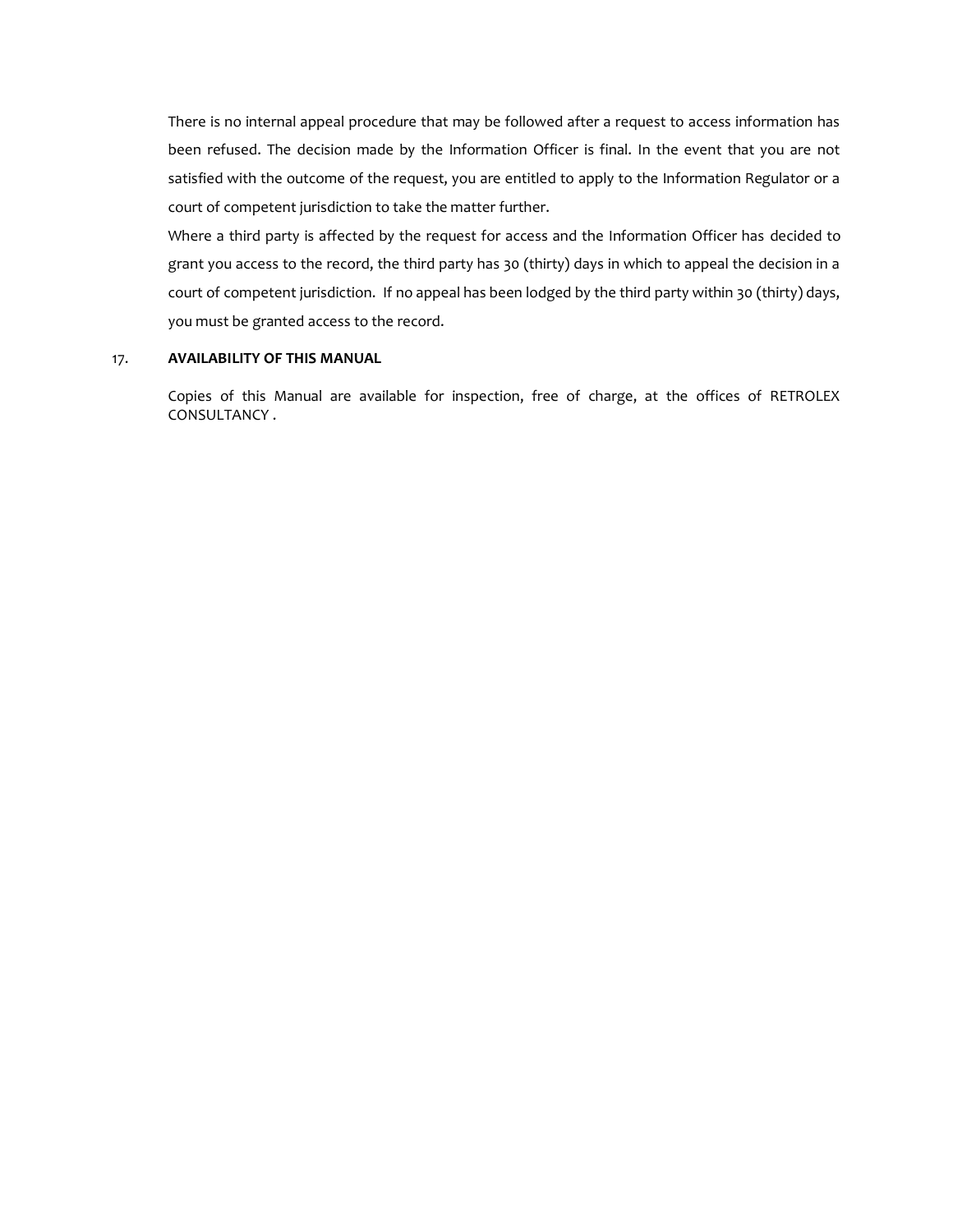There is no internal appeal procedure that may be followed after a request to access information has been refused. The decision made by the Information Officer is final. In the event that you are not satisfied with the outcome of the request, you are entitled to apply to the Information Regulator or a court of competent jurisdiction to take the matter further.

Where a third party is affected by the request for access and the Information Officer has decided to grant you access to the record, the third party has 30 (thirty) days in which to appeal the decision in a court of competent jurisdiction. If no appeal has been lodged by the third party within 30 (thirty) days, you must be granted access to the record.

#### 17. **AVAILABILITY OF THIS MANUAL**

Copies of this Manual are available for inspection, free of charge, at the offices of RETROLEX CONSULTANCY .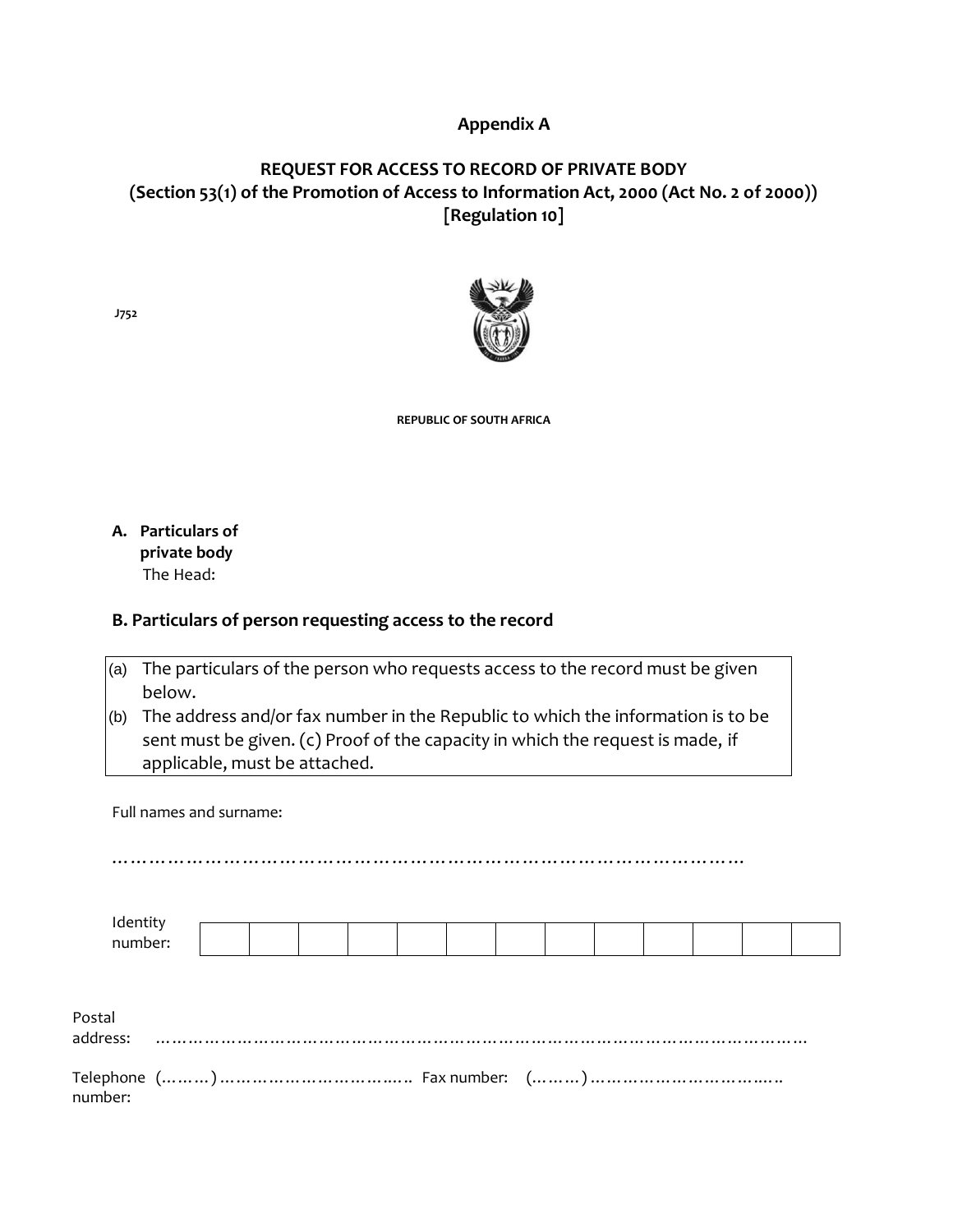# **Appendix A**

# **REQUEST FOR ACCESS TO RECORD OF PRIVATE BODY (Section 53(1) of the Promotion of Access to Information Act, 2000 (Act No. 2 of 2000)) [Regulation 10]**



**REPUBLIC OF SOUTH AFRICA** 

**A. Particulars of private body** The Head:

## **B. Particulars of person requesting access to the record**

| (a) The particulars of the person who requests access to the record must be given |
|-----------------------------------------------------------------------------------|
| below.                                                                            |

(b) The address and/or fax number in the Republic to which the information is to be sent must be given. (c) Proof of the capacity in which the request is made, if applicable, must be attached.

Full names and surname:

………………………………………………………………………………………… Identity number: Postal address: ………………………………………………………………………………………………………… Telephone (………) ………………………….….. Fax number: (………) ………………………….….. number:

**J752**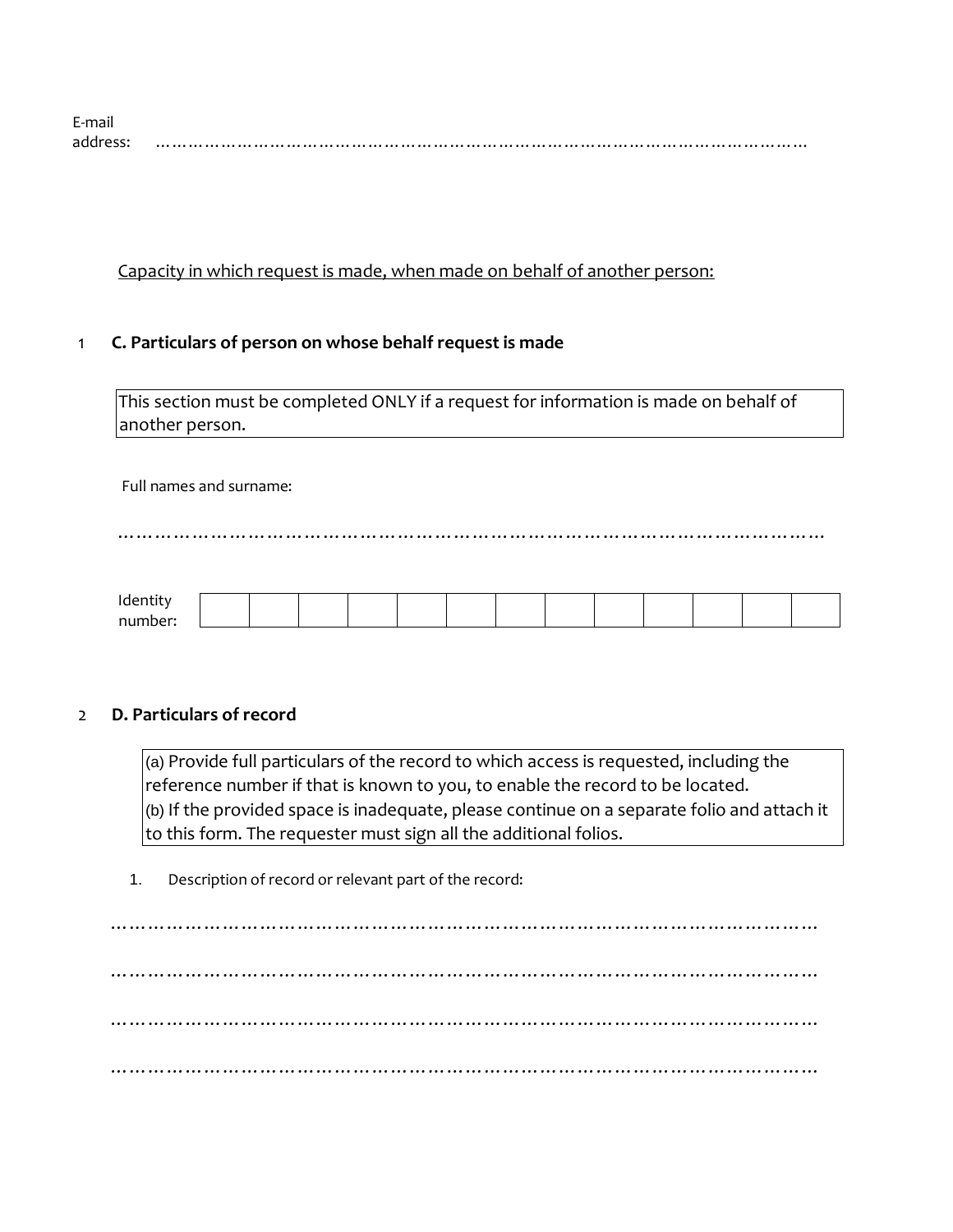| E-mai   |  |
|---------|--|
| address |  |

Capacity in which request is made, when made on behalf of another person:

# 1 **C. Particulars of person on whose behalf request is made**

This section must be completed ONLY if a request for information is made on behalf of another person.

## Full names and surname:

……………………………………………………………………………………………………

| $H$ ant<br>Tuetitity       |  |  |  |  |  |  |  |
|----------------------------|--|--|--|--|--|--|--|
| numhe.<br>$\sim$ 10 $\sim$ |  |  |  |  |  |  |  |

# 2 **D. Particulars of record**

 $\vert$ (a) Provide full particulars of the record to which access is requested, including the reference number if that is known to you, to enable the record to be located. (b) If the provided space is inadequate, please continue on a separate folio and attach it to this form. The requester must sign all the additional folios.

1. Description of record or relevant part of the record:

…………………………………………………………………………………………………… …………………………………………………………………………………………………… …………………………………………………………………………………………………… ……………………………………………………………………………………………………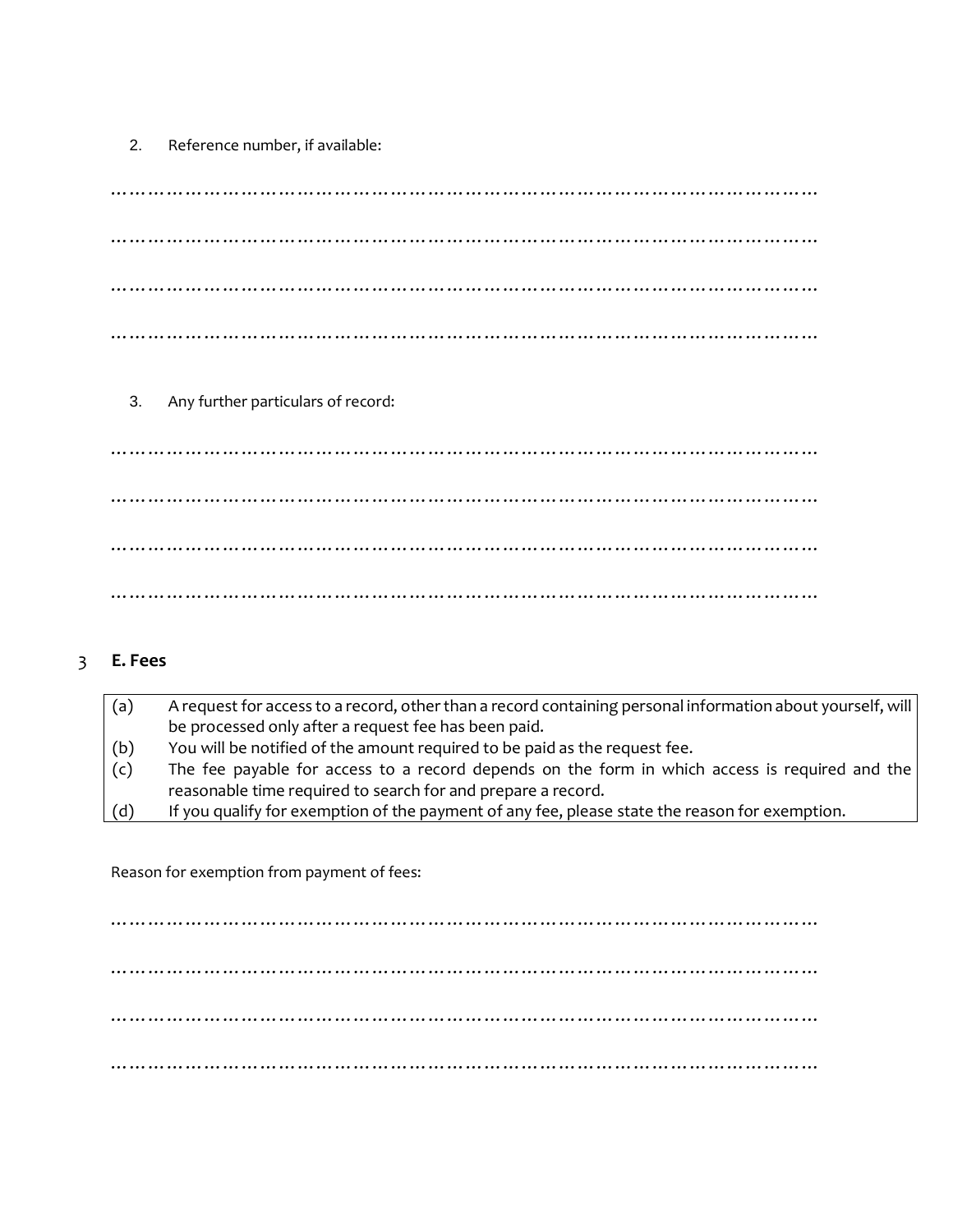2. Reference number, if available:

…………………………………………………………………………………………………… …………………………………………………………………………………………………… …………………………………………………………………………………………………… ……………………………………………………………………………………………………

3. Any further particulars of record:

…………………………………………………………………………………………………… …………………………………………………………………………………………………… …………………………………………………………………………………………………… ……………………………………………………………………………………………………

# 3 **E. Fees**

| (a) | A request for access to a record, other than a record containing personal information about yourself, will |
|-----|------------------------------------------------------------------------------------------------------------|
|     | be processed only after a request fee has been paid.                                                       |
| (b) | You will be notified of the amount required to be paid as the request fee.                                 |
| (c) | The fee payable for access to a record depends on the form in which access is required and the             |
|     | reasonable time required to search for and prepare a record.                                               |
| (d) | If you qualify for exemption of the payment of any fee, please state the reason for exemption.             |

Reason for exemption from payment of fees:

…………………………………………………………………………………………………… …………………………………………………………………………………………………… …………………………………………………………………………………………………… ……………………………………………………………………………………………………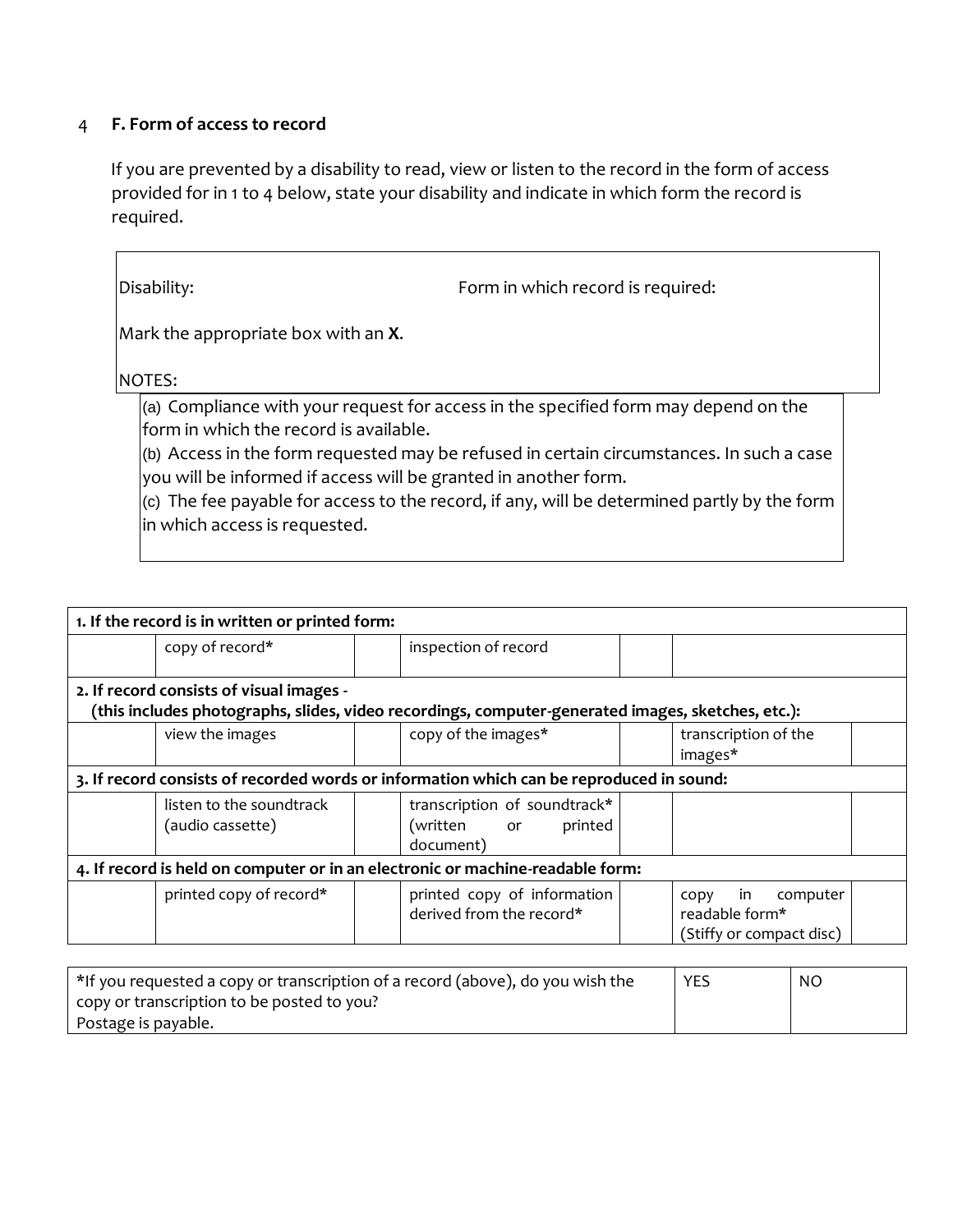# 4 **F. Form of access to record**

If you are prevented by a disability to read, view or listen to the record in the form of access provided for in 1 to 4 below, state your disability and indicate in which form the record is required.

| Disability:                                                                                                                                | Form in which record is required:                                                                                                                                                                                                                                                          |  |
|--------------------------------------------------------------------------------------------------------------------------------------------|--------------------------------------------------------------------------------------------------------------------------------------------------------------------------------------------------------------------------------------------------------------------------------------------|--|
| Mark the appropriate box with an <b>X</b> .                                                                                                |                                                                                                                                                                                                                                                                                            |  |
| NOTES:                                                                                                                                     |                                                                                                                                                                                                                                                                                            |  |
| form in which the record is available.<br>you will be informed if access will be granted in another form.<br>in which access is requested. | (a) Compliance with your request for access in the specified form may depend on the<br>$\vert$ (b) Access in the form requested may be refused in certain circumstances. In such a case<br>$ $ (c) The fee payable for access to the record, if any, will be determined partly by the form |  |

| 1. If the record is in written or printed form: |                                            |                                                                                                   |  |                          |  |  |
|-------------------------------------------------|--------------------------------------------|---------------------------------------------------------------------------------------------------|--|--------------------------|--|--|
| copy of record*                                 |                                            | inspection of record                                                                              |  |                          |  |  |
|                                                 |                                            |                                                                                                   |  |                          |  |  |
| 2. If record consists of visual images -        |                                            |                                                                                                   |  |                          |  |  |
|                                                 |                                            | (this includes photographs, slides, video recordings, computer-generated images, sketches, etc.): |  |                          |  |  |
| view the images                                 |                                            | copy of the images*                                                                               |  | transcription of the     |  |  |
|                                                 |                                            |                                                                                                   |  | images*                  |  |  |
|                                                 |                                            | 3. If record consists of recorded words or information which can be reproduced in sound:          |  |                          |  |  |
| listen to the soundtrack                        |                                            | transcription of soundtrack*                                                                      |  |                          |  |  |
| (audio cassette)                                |                                            | (written or<br>printed                                                                            |  |                          |  |  |
|                                                 |                                            | document)                                                                                         |  |                          |  |  |
|                                                 |                                            | 4. If record is held on computer or in an electronic or machine-readable form:                    |  |                          |  |  |
| printed copy of record*                         |                                            | printed copy of information                                                                       |  | computer<br>in<br>CODY   |  |  |
|                                                 | derived from the record*<br>readable form* |                                                                                                   |  |                          |  |  |
|                                                 |                                            |                                                                                                   |  | (Stiffy or compact disc) |  |  |
|                                                 |                                            |                                                                                                   |  |                          |  |  |

| <sup>*</sup> If you requested a copy or transcription of a record (above), do you wish the | <b>YES</b> | N <sub>O</sub> |
|--------------------------------------------------------------------------------------------|------------|----------------|
| copy or transcription to be posted to you?                                                 |            |                |
| Postage is payable.                                                                        |            |                |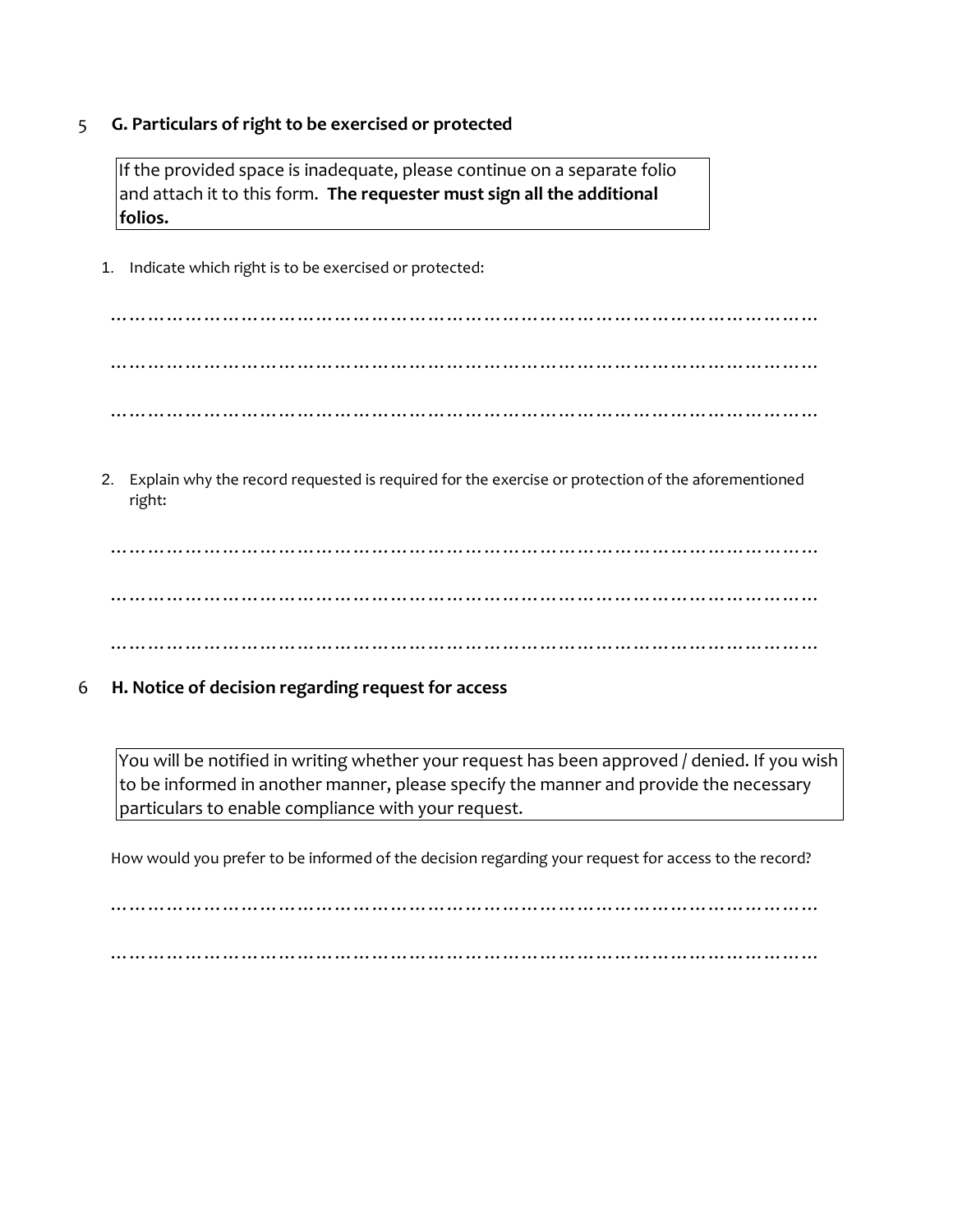## 5 **G. Particulars of right to be exercised or protected**

If the provided space is inadequate, please continue on a separate folio and attach it to this form. **The requester must sign all the additional folios.** 

1. Indicate which right is to be exercised or protected:

…………………………………………………………………………………………………… …………………………………………………………………………………………………… ……………………………………………………………………………………………………

2. Explain why the record requested is required for the exercise or protection of the aforementioned right:

…………………………………………………………………………………………………… …………………………………………………………………………………………………… ……………………………………………………………………………………………………

6 **H. Notice of decision regarding request for access** 

You will be notified in writing whether your request has been approved / denied. If you wish to be informed in another manner, please specify the manner and provide the necessary particulars to enable compliance with your request.

How would you prefer to be informed of the decision regarding your request for access to the record?

……………………………………………………………………………………………………

……………………………………………………………………………………………………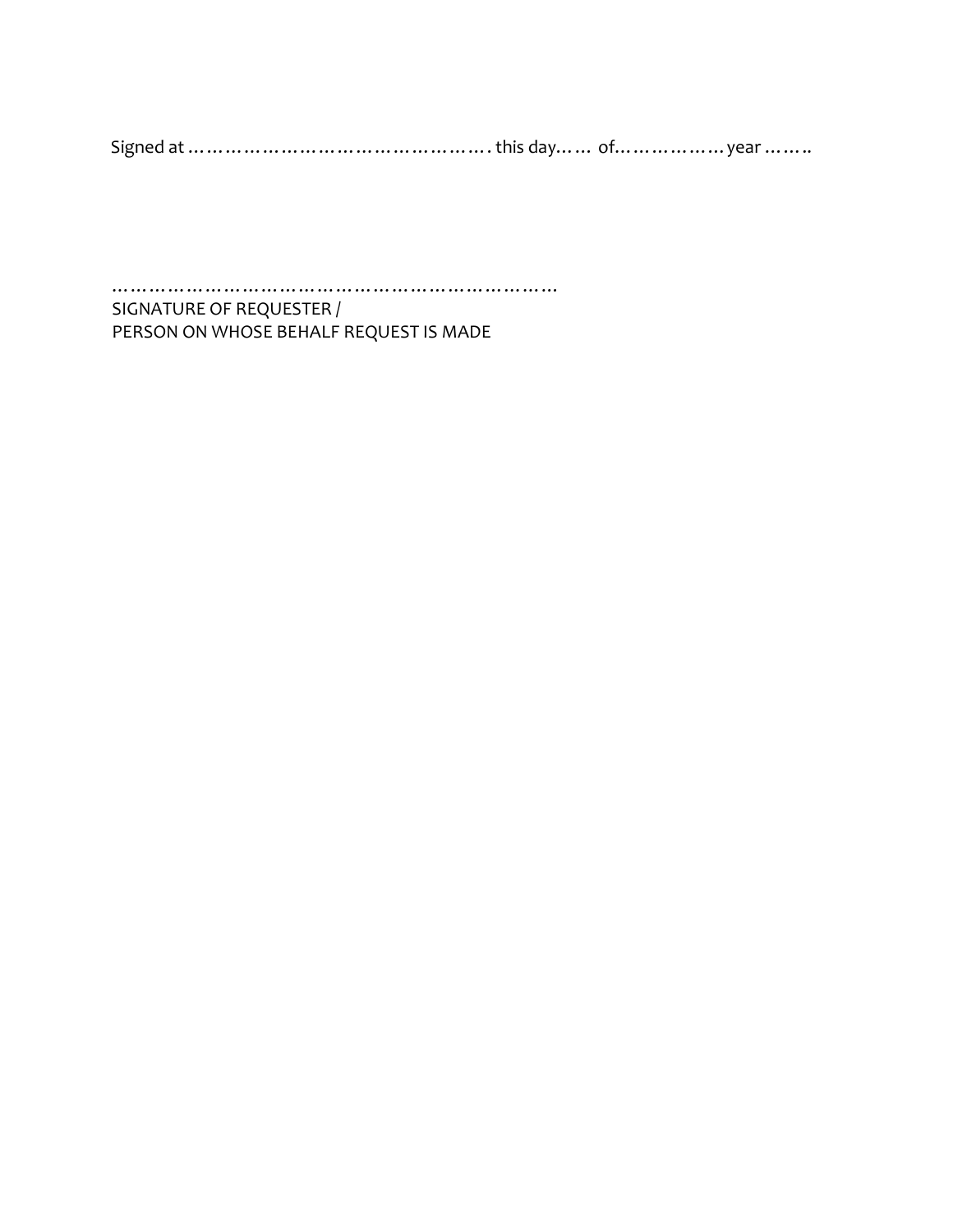Signed at …………………………………………. this day…… of………………year ……..

……………………………………………………………… SIGNATURE OF REQUESTER / PERSON ON WHOSE BEHALF REQUEST IS MADE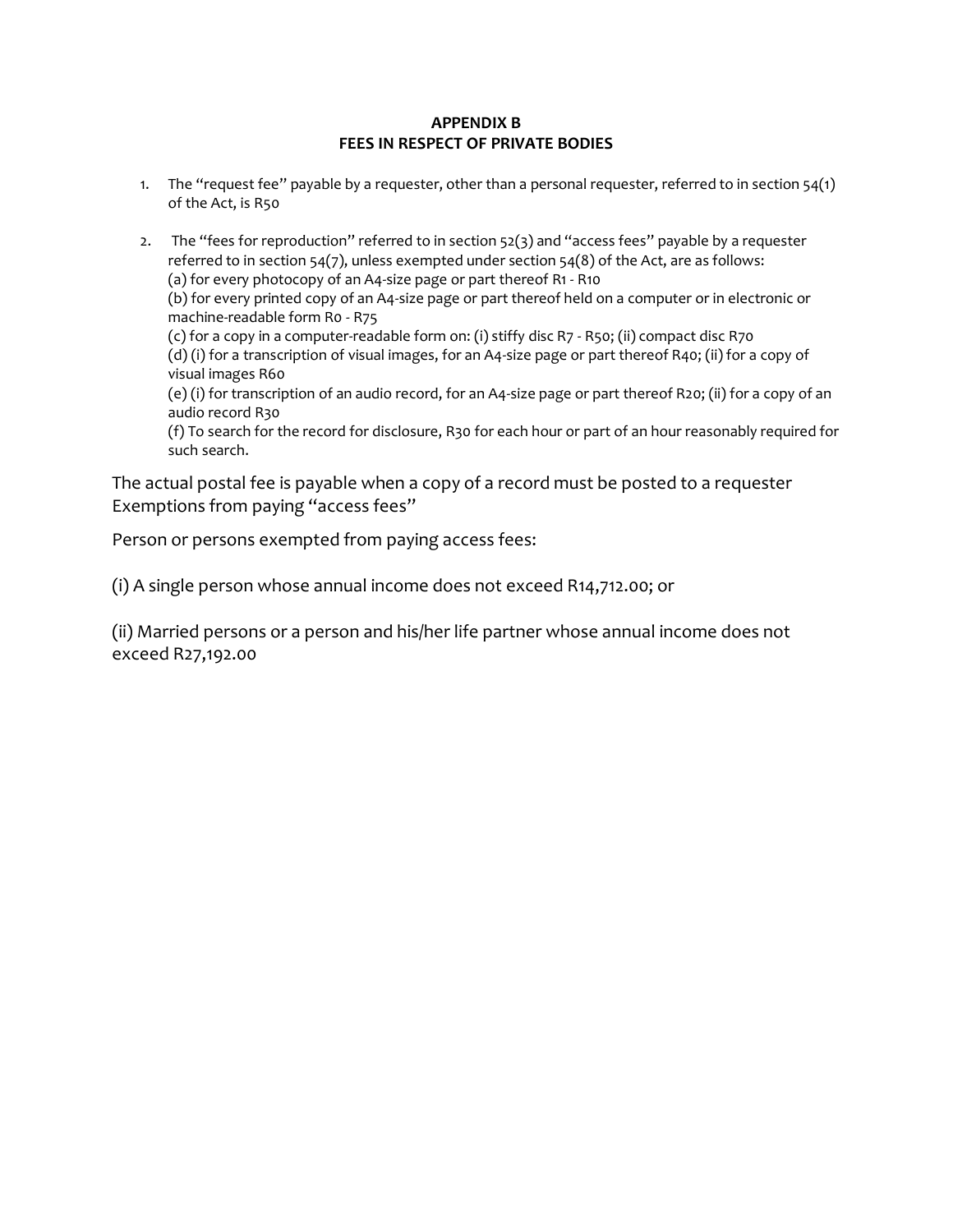## **APPENDIX B FEES IN RESPECT OF PRIVATE BODIES**

- 1. The "request fee" payable by a requester, other than a personal requester, referred to in section  $54(1)$ of the Act, is R50
- 2. The "fees for reproduction" referred to in section 52(3) and "access fees" payable by a requester referred to in section 54(7), unless exempted under section 54(8) of the Act, are as follows: (a) for every photocopy of an A4-size page or part thereof R1 - R10 (b) for every printed copy of an A4-size page or part thereof held on a computer or in electronic or machine-readable form R0 - R75 (c) for a copy in a computer-readable form on: (i) stiffy disc R7 - R50; (ii) compact disc R70 (d) (i) for a transcription of visual images, for an A4-size page or part thereof R40; (ii) for a copy of visual images R60 (e) (i) for transcription of an audio record, for an A4-size page or part thereof R20; (ii) for a copy of an audio record R30 (f) To search for the record for disclosure, R30 for each hour or part of an hour reasonably required for such search.

The actual postal fee is payable when a copy of a record must be posted to a requester Exemptions from paying "access fees"

Person or persons exempted from paying access fees:

(i) A single person whose annual income does not exceed R14,712.00; or

(ii) Married persons or a person and his/her life partner whose annual income does not exceed R27,192.00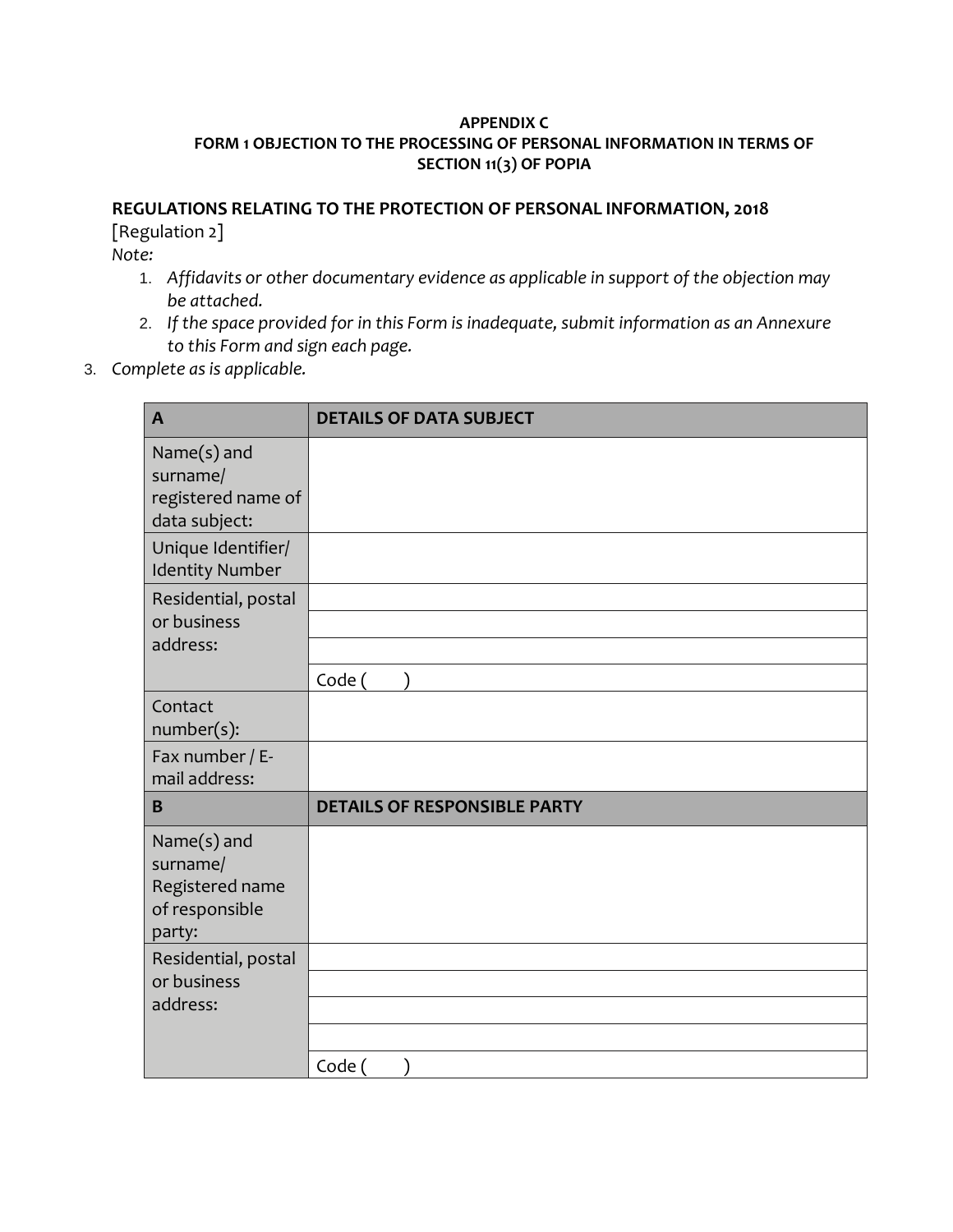## **APPENDIX C FORM 1 OBJECTION TO THE PROCESSING OF PERSONAL INFORMATION IN TERMS OF SECTION 11(3) OF POPIA**

## **REGULATIONS RELATING TO THE PROTECTION OF PERSONAL INFORMATION, 2018**

[Regulation 2]

*Note:* 

- 1. *Affidavits or other documentary evidence as applicable in support of the objection may be attached.*
- 2. *If the space provided for in this Form is inadequate, submit information as an Annexure to this Form and sign each page.*
- 3. *Complete as is applicable.*

| $\mathbf{A}$                                                           | <b>DETAILS OF DATA SUBJECT</b>      |
|------------------------------------------------------------------------|-------------------------------------|
| Name(s) and<br>surname/<br>registered name of<br>data subject:         |                                     |
| Unique Identifier/<br><b>Identity Number</b>                           |                                     |
| Residential, postal<br>or business<br>address:                         |                                     |
|                                                                        | Code (                              |
| Contact<br>number(s):                                                  |                                     |
| Fax number / E-<br>mail address:                                       |                                     |
| B                                                                      | <b>DETAILS OF RESPONSIBLE PARTY</b> |
| Name(s) and<br>surname/<br>Registered name<br>of responsible<br>party: |                                     |
| Residential, postal                                                    |                                     |
| or business                                                            |                                     |
| address:                                                               |                                     |
|                                                                        |                                     |
|                                                                        | Code (                              |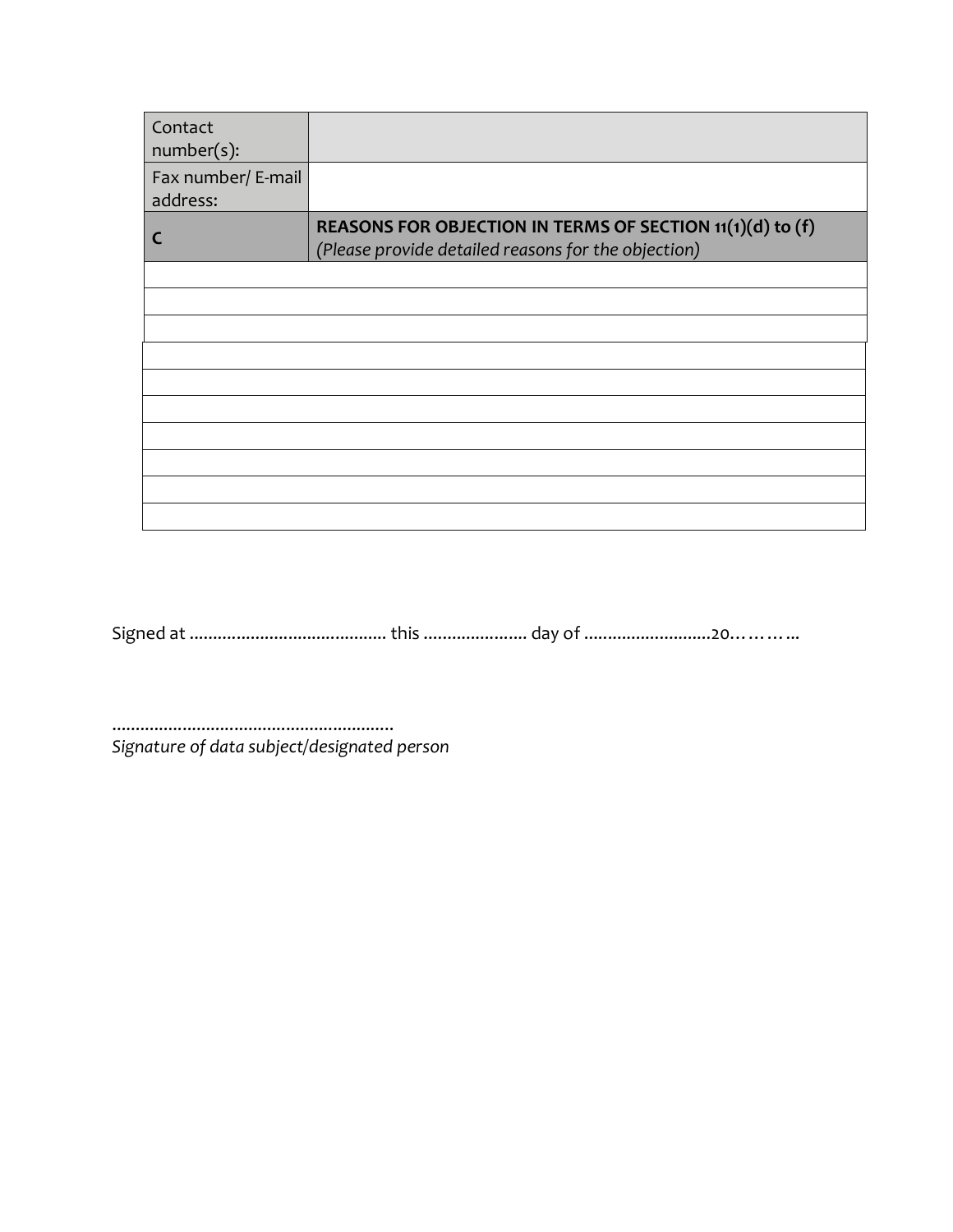| Contact<br>number(s):          |                                                                                                                  |
|--------------------------------|------------------------------------------------------------------------------------------------------------------|
| Fax number/ E-mail<br>address: |                                                                                                                  |
| C                              | REASONS FOR OBJECTION IN TERMS OF SECTION 11(1)(d) to (f)<br>(Please provide detailed reasons for the objection) |
|                                |                                                                                                                  |
|                                |                                                                                                                  |
|                                |                                                                                                                  |
|                                |                                                                                                                  |
|                                |                                                                                                                  |
|                                |                                                                                                                  |
|                                |                                                                                                                  |
|                                |                                                                                                                  |
|                                |                                                                                                                  |
|                                |                                                                                                                  |

Signed at .......................................... this ...................... day of ...........................20………...

............................................................ *Signature of data subject/designated person*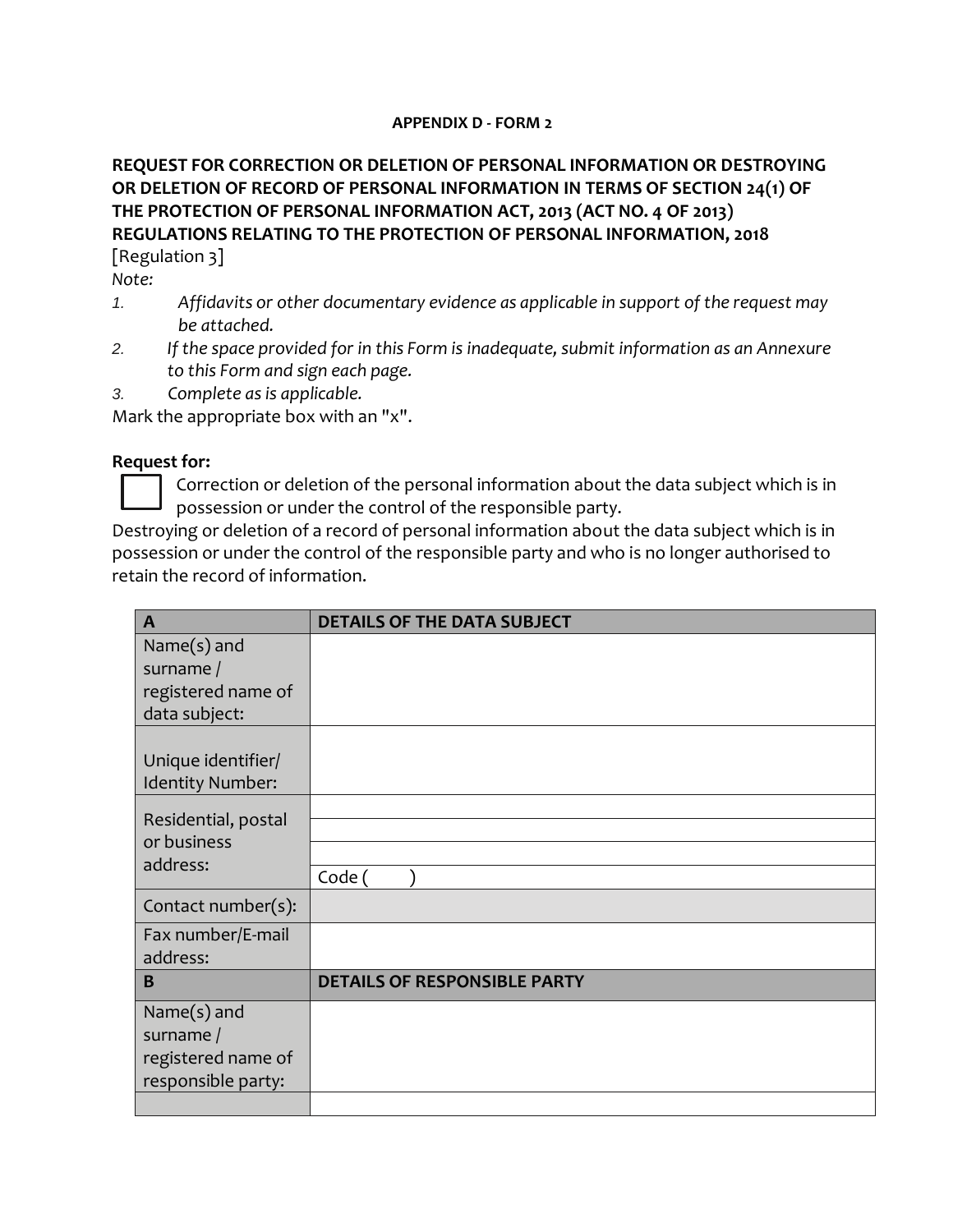## **APPENDIX D - FORM 2**

# **REQUEST FOR CORRECTION OR DELETION OF PERSONAL INFORMATION OR DESTROYING OR DELETION OF RECORD OF PERSONAL INFORMATION IN TERMS OF SECTION 24(1) OF THE PROTECTION OF PERSONAL INFORMATION ACT, 2013 (ACT NO. 4 OF 2013) REGULATIONS RELATING TO THE PROTECTION OF PERSONAL INFORMATION, 2018** [Regulation 3]

*Note:* 

- *1. Affidavits or other documentary evidence as applicable in support of the request may be attached.*
- *2. If the space provided for in this Form is inadequate, submit information as an Annexure to this Form and sign each page.*
- *3. Complete as is applicable.*

Mark the appropriate box with an "x".

## **Request for:**

Correction or deletion of the personal information about the data subject which is in possession or under the control of the responsible party.

Destroying or deletion of a record of personal information about the data subject which is in possession or under the control of the responsible party and who is no longer authorised to retain the record of information.

| $\mathbf{A}$                  | <b>DETAILS OF THE DATA SUBJECT</b>  |
|-------------------------------|-------------------------------------|
| Name $(s)$ and                |                                     |
| surname /                     |                                     |
| registered name of            |                                     |
| data subject:                 |                                     |
|                               |                                     |
| Unique identifier/            |                                     |
| Identity Number:              |                                     |
| Residential, postal           |                                     |
| or business                   |                                     |
| address:                      | Code (                              |
| Contact number(s):            |                                     |
|                               |                                     |
| Fax number/E-mail<br>address: |                                     |
| B                             | <b>DETAILS OF RESPONSIBLE PARTY</b> |
|                               |                                     |
| Name $(s)$ and                |                                     |
| surname /                     |                                     |
| registered name of            |                                     |
| responsible party:            |                                     |
|                               |                                     |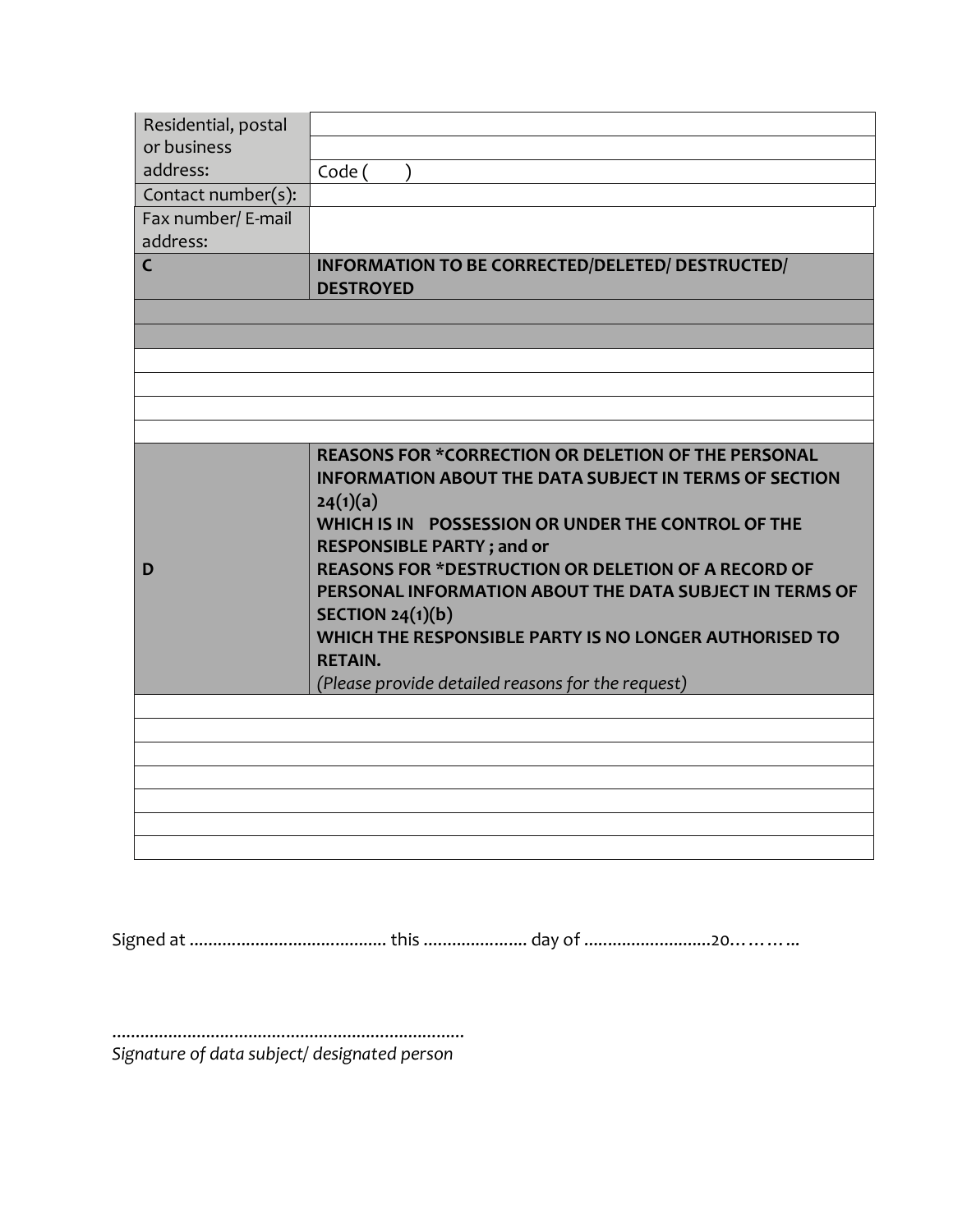| Residential, postal |                                                                           |
|---------------------|---------------------------------------------------------------------------|
| or business         |                                                                           |
| address:            | Code (                                                                    |
| Contact number(s):  |                                                                           |
| Fax number/ E-mail  |                                                                           |
| address:            |                                                                           |
| $\overline{C}$      | INFORMATION TO BE CORRECTED/DELETED/ DESTRUCTED/<br><b>DESTROYED</b>      |
|                     |                                                                           |
|                     |                                                                           |
|                     |                                                                           |
|                     |                                                                           |
|                     | <b>REASONS FOR *CORRECTION OR DELETION OF THE PERSONAL</b>                |
|                     | <b>INFORMATION ABOUT THE DATA SUBJECT IN TERMS OF SECTION</b><br>24(1)(a) |
|                     | WHICH IS IN POSSESSION OR UNDER THE CONTROL OF THE                        |
|                     | <b>RESPONSIBLE PARTY; and or</b>                                          |
| D                   | <b>REASONS FOR *DESTRUCTION OR DELETION OF A RECORD OF</b>                |
|                     | PERSONAL INFORMATION ABOUT THE DATA SUBJECT IN TERMS OF                   |
|                     | SECTION $24(1)(b)$                                                        |
|                     | WHICH THE RESPONSIBLE PARTY IS NO LONGER AUTHORISED TO                    |
|                     | <b>RETAIN.</b>                                                            |
|                     | (Please provide detailed reasons for the request)                         |
|                     |                                                                           |
|                     |                                                                           |
|                     |                                                                           |
|                     |                                                                           |
|                     |                                                                           |
|                     |                                                                           |
|                     |                                                                           |

Signed at .......................................... this ...................... day of ...........................20………...

........................................................................... *Signature of data subject/ designated person*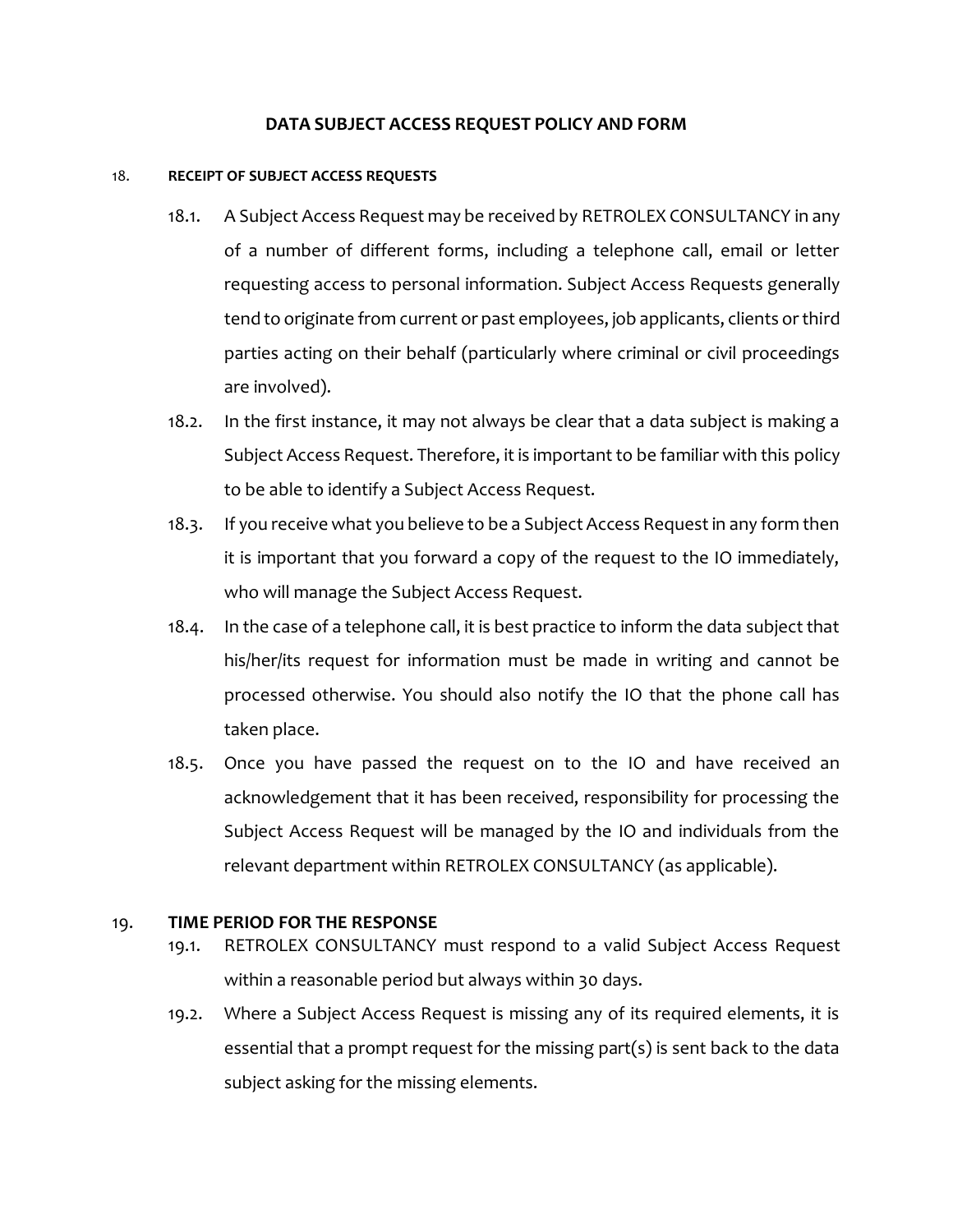## **DATA SUBJECT ACCESS REQUEST POLICY AND FORM**

### 18. **RECEIPT OF SUBJECT ACCESS REQUESTS**

- 18.1. A Subject Access Request may be received by RETROLEX CONSULTANCY in any of a number of different forms, including a telephone call, email or letter requesting access to personal information. Subject Access Requests generally tend to originate from current or past employees, job applicants, clients or third parties acting on their behalf (particularly where criminal or civil proceedings are involved).
- 18.2. In the first instance, it may not always be clear that a data subject is making a Subject Access Request. Therefore, it is important to be familiar with this policy to be able to identify a Subject Access Request.
- 18.3. If you receive what you believe to be a Subject Access Request in any form then it is important that you forward a copy of the request to the IO immediately, who will manage the Subject Access Request.
- 18.4. In the case of a telephone call, it is best practice to inform the data subject that his/her/its request for information must be made in writing and cannot be processed otherwise. You should also notify the IO that the phone call has taken place.
- 18.5. Once you have passed the request on to the IO and have received an acknowledgement that it has been received, responsibility for processing the Subject Access Request will be managed by the IO and individuals from the relevant department within RETROLEX CONSULTANCY (as applicable).

## 19. **TIME PERIOD FOR THE RESPONSE**

- 19.1. RETROLEX CONSULTANCY must respond to a valid Subject Access Request within a reasonable period but always within 30 days.
- 19.2. Where a Subject Access Request is missing any of its required elements, it is essential that a prompt request for the missing part(s) is sent back to the data subject asking for the missing elements.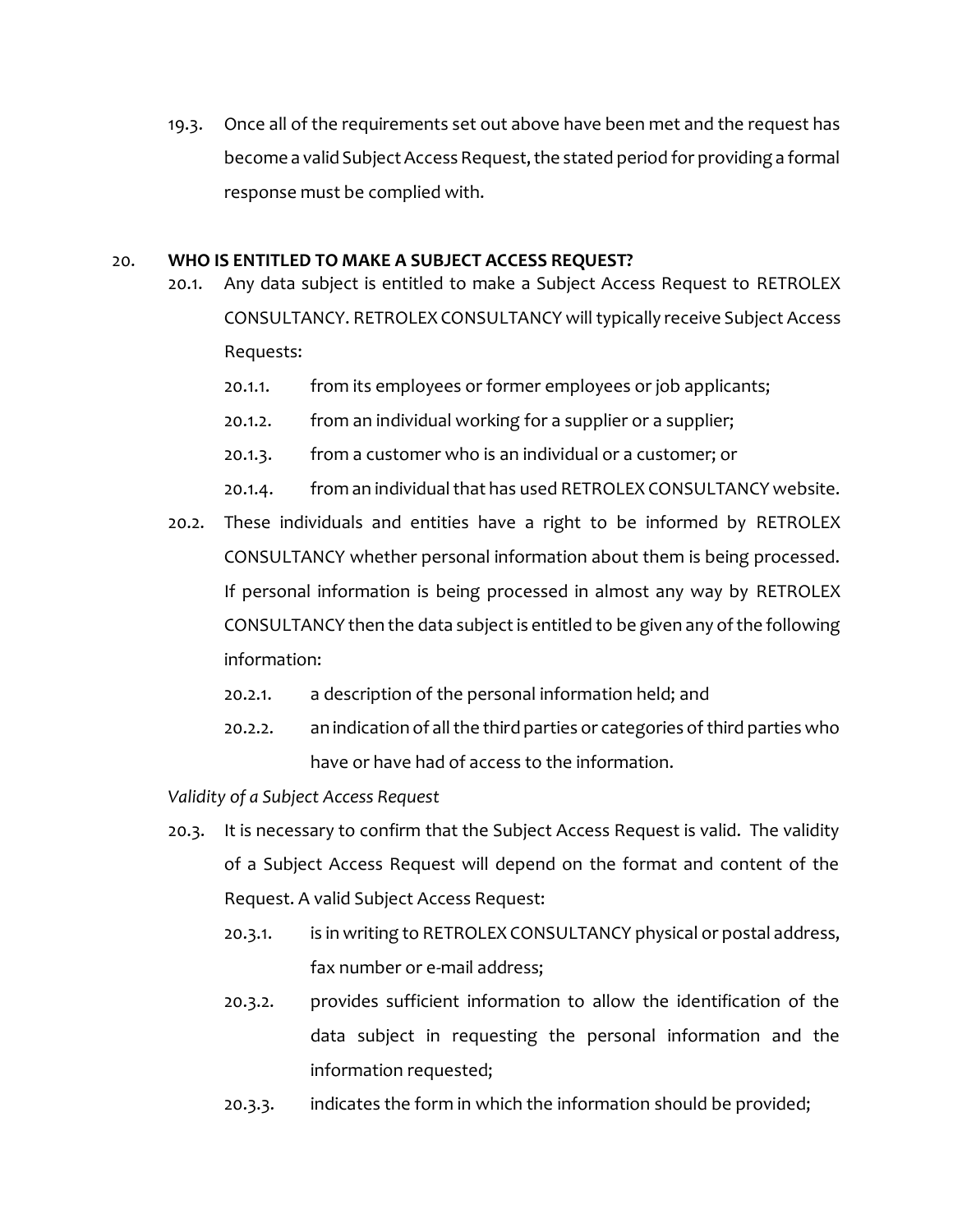19.3. Once all of the requirements set out above have been met and the request has become a valid Subject Access Request, the stated period for providing a formal response must be complied with.

## 20. **WHO IS ENTITLED TO MAKE A SUBJECT ACCESS REQUEST?**

- 20.1. Any data subject is entitled to make a Subject Access Request to RETROLEX CONSULTANCY. RETROLEX CONSULTANCY will typically receive Subject Access Requests:
	- 20.1.1. from its employees or former employees or job applicants;
	- 20.1.2. from an individual working for a supplier or a supplier;
	- 20.1.3. from a customer who is an individual or a customer; or
	- 20.1.4. from an individual that has used RETROLEX CONSULTANCY website.
- 20.2. These individuals and entities have a right to be informed by RETROLEX CONSULTANCY whether personal information about them is being processed. If personal information is being processed in almost any way by RETROLEX CONSULTANCY then the data subject is entitled to be given any of the following information:
	- 20.2.1. a description of the personal information held; and
	- 20.2.2. an indication of all the third parties or categories of third parties who have or have had of access to the information.

*Validity of a Subject Access Request*

- 20.3. It is necessary to confirm that the Subject Access Request is valid. The validity of a Subject Access Request will depend on the format and content of the Request. A valid Subject Access Request:
	- 20.3.1. is in writing to RETROLEX CONSULTANCY physical or postal address, fax number or e-mail address;
	- 20.3.2. provides sufficient information to allow the identification of the data subject in requesting the personal information and the information requested;
	- 20.3.3. indicates the form in which the information should be provided;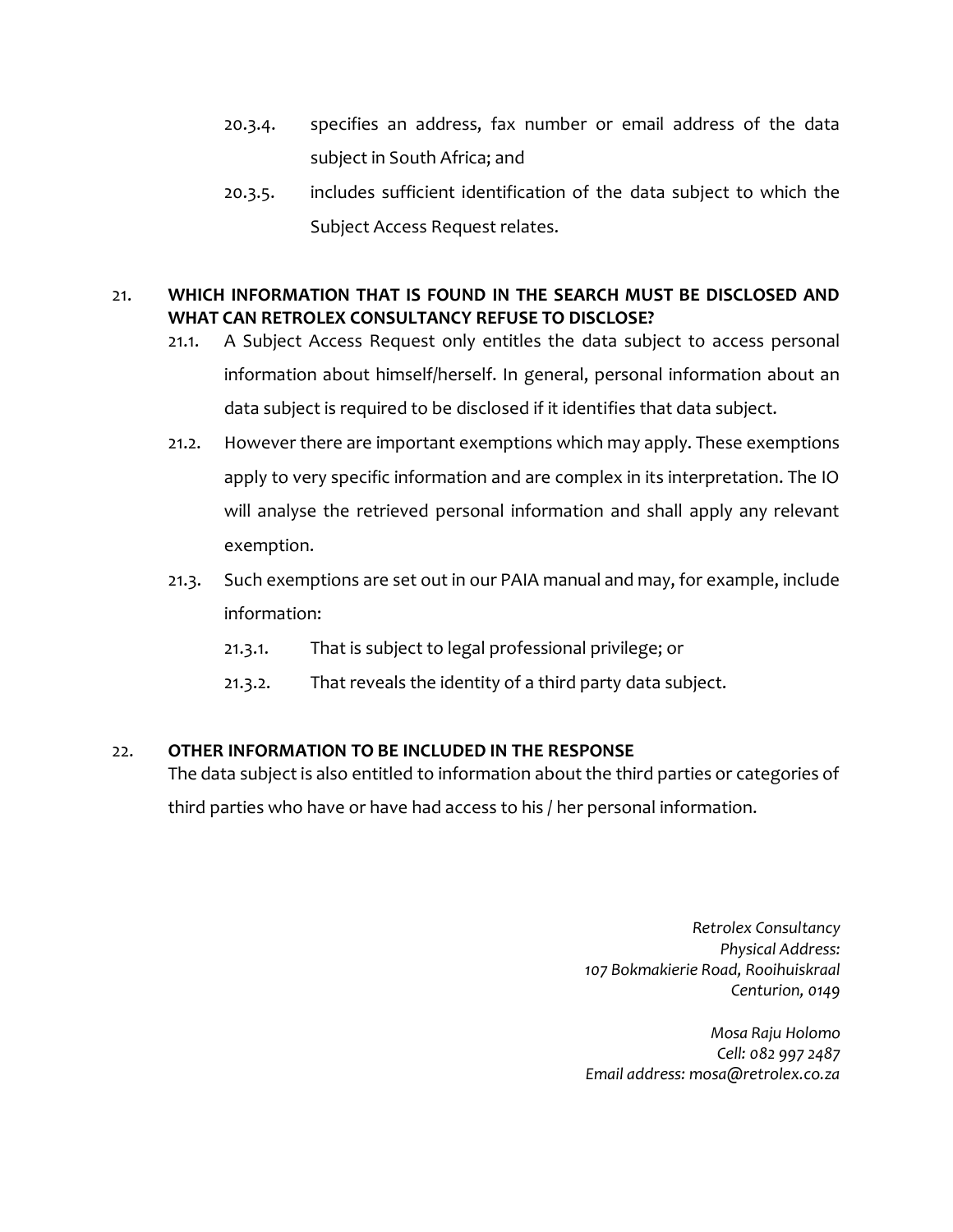- 20.3.4. specifies an address, fax number or email address of the data subject in South Africa; and
- 20.3.5. includes sufficient identification of the data subject to which the Subject Access Request relates.

# 21. **WHICH INFORMATION THAT IS FOUND IN THE SEARCH MUST BE DISCLOSED AND WHAT CAN RETROLEX CONSULTANCY REFUSE TO DISCLOSE?**

- 21.1. A Subject Access Request only entitles the data subject to access personal information about himself/herself. In general, personal information about an data subject is required to be disclosed if it identifies that data subject.
- 21.2. However there are important exemptions which may apply. These exemptions apply to very specific information and are complex in its interpretation. The IO will analyse the retrieved personal information and shall apply any relevant exemption.
- 21.3. Such exemptions are set out in our PAIA manual and may, for example, include information:
	- 21.3.1. That is subject to legal professional privilege; or
	- 21.3.2. That reveals the identity of a third party data subject.

# 22. **OTHER INFORMATION TO BE INCLUDED IN THE RESPONSE**

The data subject is also entitled to information about the third parties or categories of

third parties who have or have had access to his / her personal information.

*Retrolex Consultancy Physical Address: 107 Bokmakierie Road, Rooihuiskraal Centurion, 0149*

*Mosa Raju Holomo Cell: 082 997 2487 Email address: mosa@retrolex.co.za*